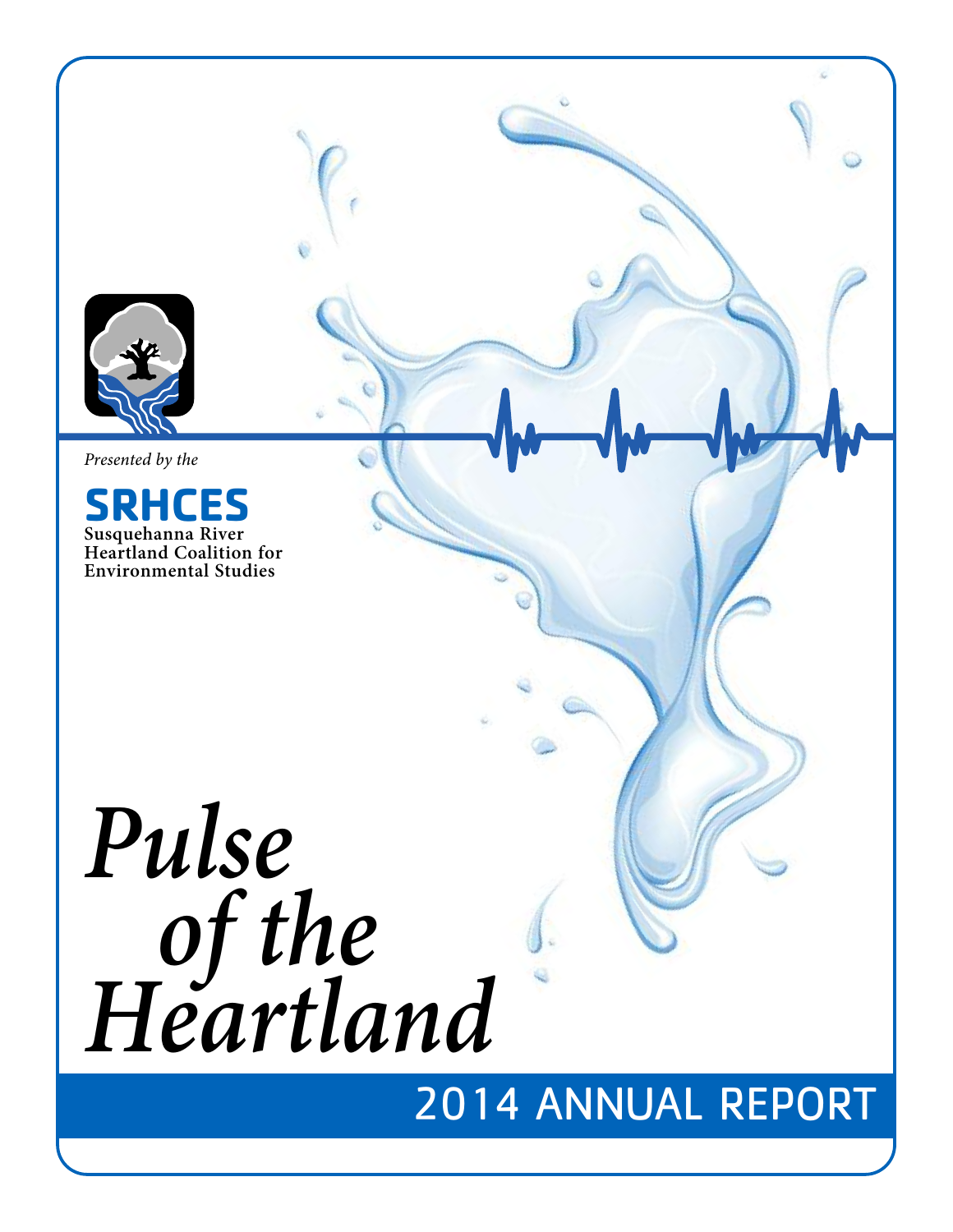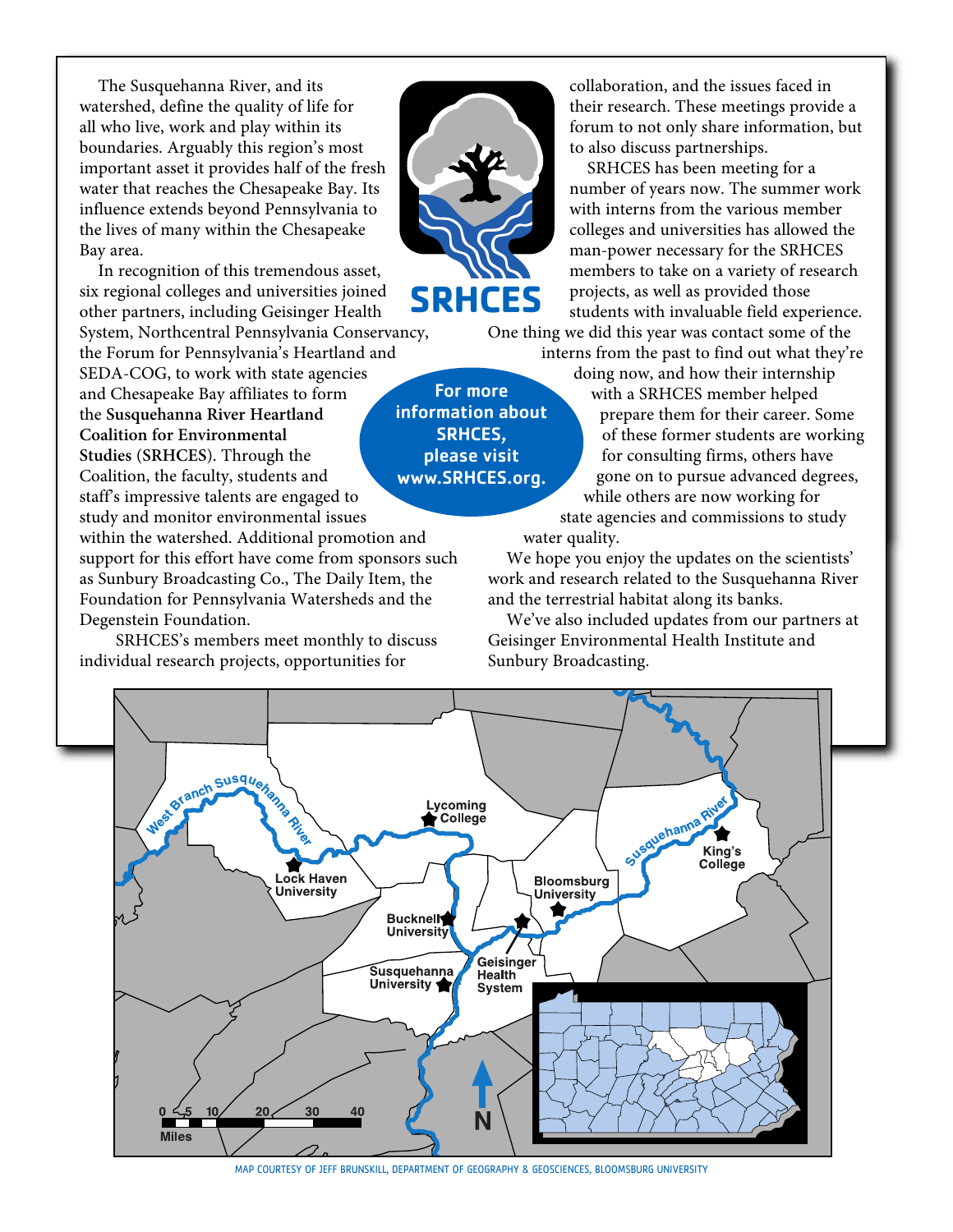The Susquehanna River, and its watershed, define the quality of life for all who live, work and play within its boundaries. Arguably this region's most important asset it provides half of the fresh water that reaches the Chesapeake Bay. Its influence extends beyond Pennsylvania to the lives of many within the Chesapeake Bay area.

In recognition of this tremendous asset, six regional colleges and universities joined other partners, including Geisinger Health

System, Northcentral Pennsylvania Conservancy, the Forum for Pennsylvania's Heartland and

SEDA-COG, to work with state agencies and Chesapeake Bay affiliates to form the **Susquehanna River Heartland Coalition for Environmental Studies** (**SRHCES**). Through the Coalition, the faculty, students and staff's impressive talents are engaged to study and monitor environmental issues

within the watershed. Additional promotion and support for this effort have come from sponsors such as Sunbury Broadcasting Co., The Daily Item, the Foundation for Pennsylvania Watersheds and the Degenstein Foundation.

SRHCES's members meet monthly to discuss individual research projects, opportunities for



For more information about SRHCES, please visit www.SRHCES.org.

collaboration, and the issues faced in their research. These meetings provide a forum to not only share information, but to also discuss partnerships.

SRHCES has been meeting for a number of years now. The summer work with interns from the various member colleges and universities has allowed the man-power necessary for the SRHCES members to take on a variety of research projects, as well as provided those students with invaluable field experience.

One thing we did this year was contact some of the interns from the past to find out what they're

> doing now, and how their internship with a SRHCES member helped prepare them for their career. Some of these former students are working for consulting firms, others have gone on to pursue advanced degrees, while others are now working for state agencies and commissions to study

water quality.

We hope you enjoy the updates on the scientists' work and research related to the Susquehanna River and the terrestrial habitat along its banks.

We've also included updates from our partners at Geisinger Environmental Health Institute and Sunbury Broadcasting.



MAP COURTESY OF JEFF BRUNSKILL, DEPARTMENT OF GEOGRAPHY & GEOSCIENCES, BLOOMSBURG UNIVERSITY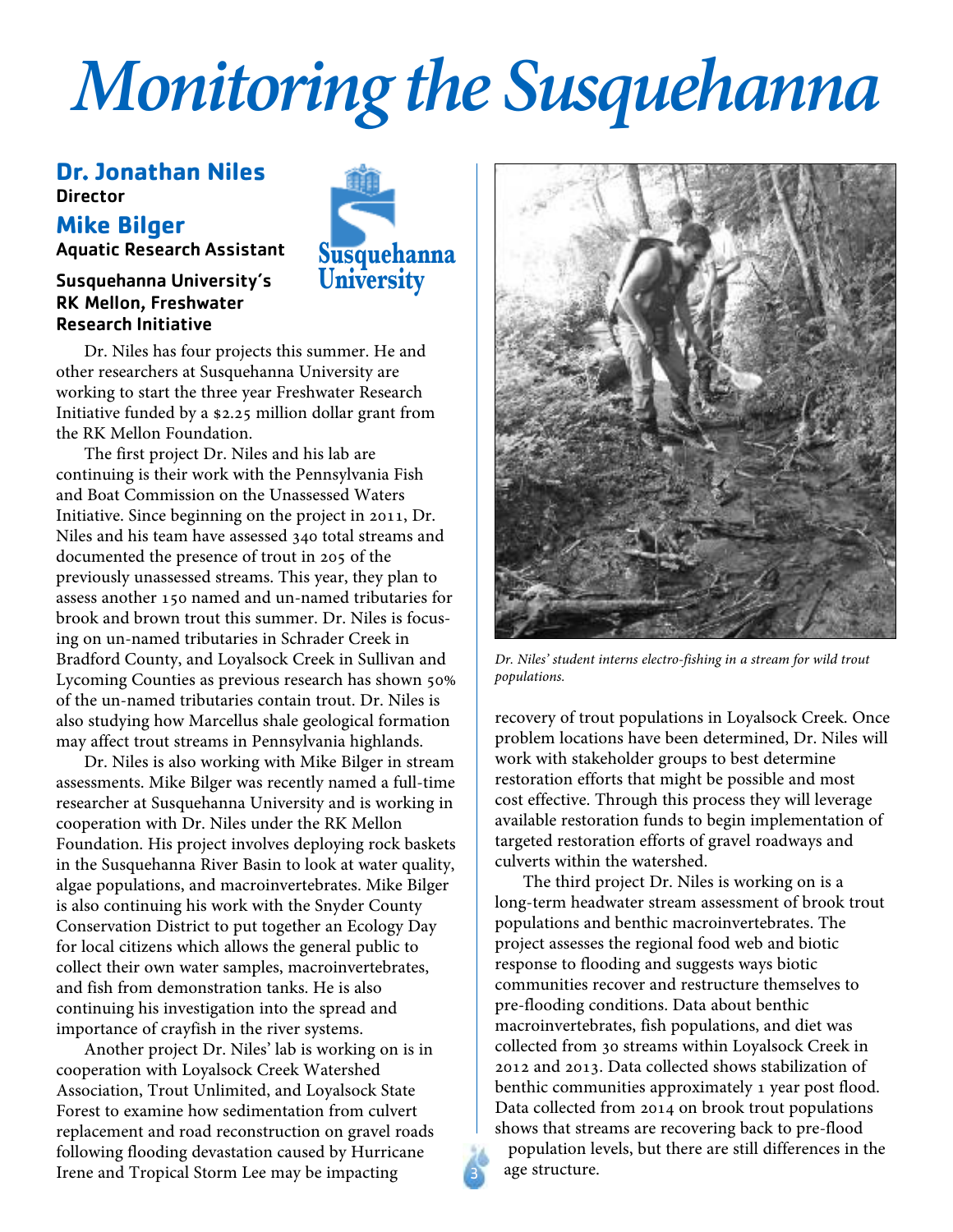# *Monitoring the Susquehanna*

### **Dr. Jonathan Niles Director**

### **Mike Bilger**

Aquatic Research Assistant

### Susquehanna University's RK Mellon, Freshwater Research Initiative



Dr. Niles has four projects this summer. He and other researchers at Susquehanna University are working to start the three year Freshwater Research Initiative funded by a \$2.25 million dollar grant from the RK Mellon Foundation.

The first project Dr. Niles and his lab are continuing is their work with the Pennsylvania Fish and Boat Commission on the Unassessed Waters Initiative. Since beginning on the project in 2011, Dr. Niles and his team have assessed 340 total streams and documented the presence of trout in 205 of the previously unassessed streams. This year, they plan to assess another 150 named and un-named tributaries for brook and brown trout this summer. Dr. Niles is focusing on un-named tributaries in Schrader Creek in Bradford County, and Loyalsock Creek in Sullivan and Lycoming Counties as previous research has shown 50% of the un-named tributaries contain trout. Dr. Niles is also studying how Marcellus shale geological formation may affect trout streams in Pennsylvania highlands.

Dr. Niles is also working with Mike Bilger in stream assessments. Mike Bilger was recently named a full-time researcher at Susquehanna University and is working in cooperation with Dr. Niles under the RK Mellon Foundation. His project involves deploying rock baskets in the Susquehanna River Basin to look at water quality, algae populations, and macroinvertebrates. Mike Bilger is also continuing his work with the Snyder County Conservation District to put together an Ecology Day for local citizens which allows the general public to collect their own water samples, macroinvertebrates, and fish from demonstration tanks. He is also continuing his investigation into the spread and importance of crayfish in the river systems.

Another project Dr. Niles' lab is working on is in cooperation with Loyalsock Creek Watershed Association, Trout Unlimited, and Loyalsock State Forest to examine how sedimentation from culvert replacement and road reconstruction on gravel roads following flooding devastation caused by Hurricane Irene and Tropical Storm Lee may be impacting



*Dr. Niles' student interns electro-fishing in a stream for wild trout populations.*

recovery of trout populations in Loyalsock Creek. Once problem locations have been determined, Dr. Niles will work with stakeholder groups to best determine restoration efforts that might be possible and most cost effective. Through this process they will leverage available restoration funds to begin implementation of targeted restoration efforts of gravel roadways and culverts within the watershed.

The third project Dr. Niles is working on is a long-term headwater stream assessment of brook trout populations and benthic macroinvertebrates. The project assesses the regional food web and biotic response to flooding and suggests ways biotic communities recover and restructure themselves to pre-flooding conditions. Data about benthic macroinvertebrates, fish populations, and diet was collected from 30 streams within Loyalsock Creek in 2012 and 2013. Data collected shows stabilization of benthic communities approximately 1 year post flood. Data collected from 2014 on brook trout populations shows that streams are recovering back to pre-flood

population levels, but there are still differences in the age structure.

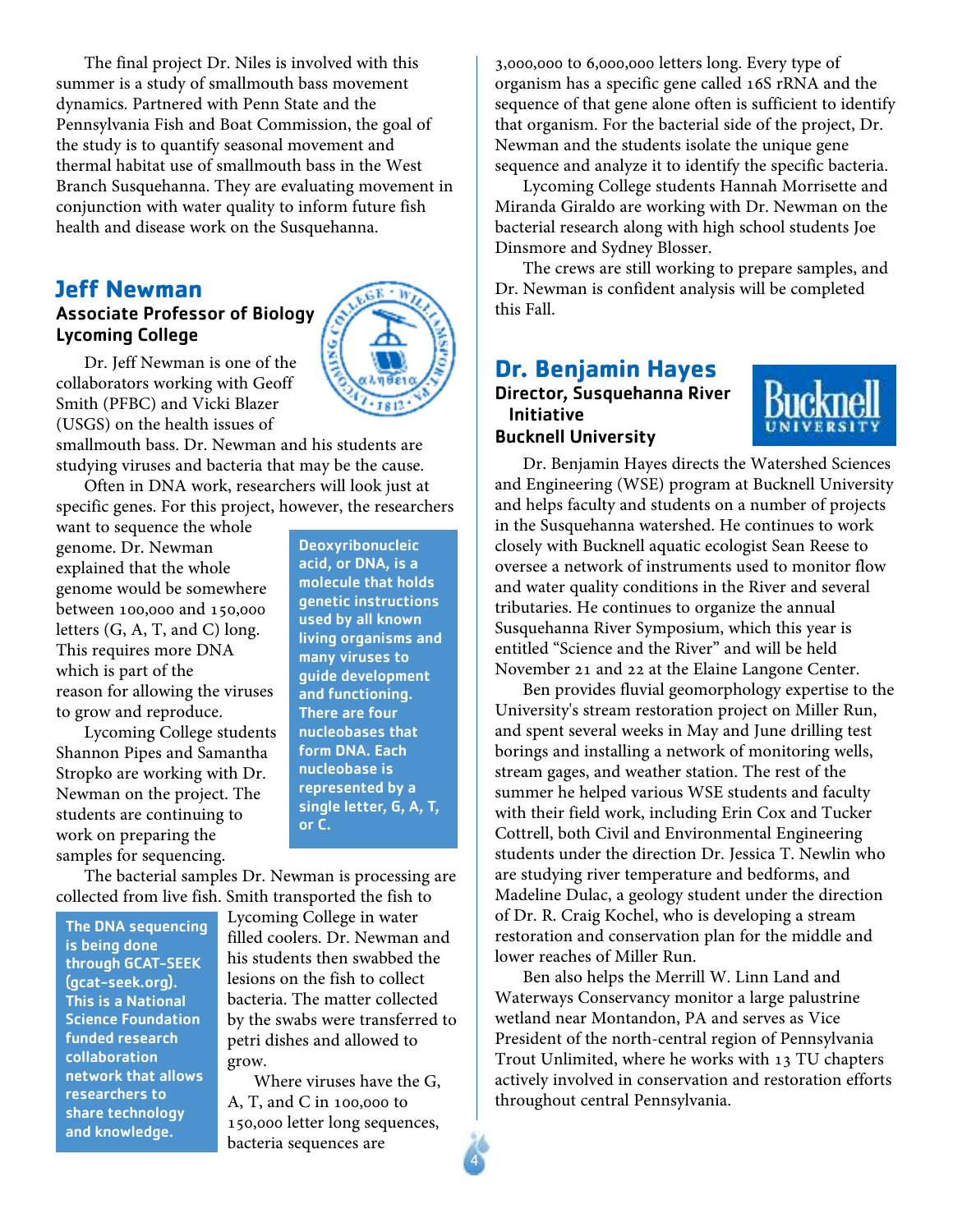The final project Dr. Niles is involved with this summer is a study of smallmouth bass movement dynamics. Partnered with Penn State and the Pennsylvania Fish and Boat Commission, the goal of the study is to quantify seasonal movement and thermal habitat use of smallmouth bass in the West Branch Susquehanna. They are evaluating movement in conjunction with water quality to inform future fish health and disease work on the Susquehanna.

### **Jeff Newman**

### Associate Professor of Biology Lycoming College



Dr. Jeff Newman is one of the collaborators working with Geoff Smith (PFBC) and Vicki Blazer (USGS) on the health issues of

smallmouth bass. Dr. Newman and his students are studying viruses and bacteria that may be the cause.

Often in DNA work, researchers will look just at specific genes. For this project, however, the researchers

want to sequence the whole genome. Dr. Newman explained that the whole genome would be somewhere between 100,000 and 150,000 letters (G, A, T, and C) long. This requires more DNA which is part of the reason for allowing the viruses to grow and reproduce.

Lycoming College students Shannon Pipes and Samantha Stropko are working with Dr. Newman on the project. The students are continuing to work on preparing the samples for sequencing.

Deoxyribonucleic acid, or DNA, is a molecule that holds genetic instructions used by all known living organisms and many viruses to guide development and functioning. There are four nucleobases that form DNA. Each nucleobase is represented by a single letter, G, A, T, or C.

The bacterial samples Dr. Newman is processing are collected from live fish. Smith transported the fish to

The DNA sequencing is being done through GCAT-SEEK (gcat-seek.org). This is a National Science Foundation funded research collaboration network that allows researchers to share technology and knowledge.

Lycoming College in water filled coolers. Dr. Newman and his students then swabbed the lesions on the fish to collect bacteria. The matter collected by the swabs were transferred to petri dishes and allowed to grow.

Where viruses have the G, A, T, and C in 100,000 to 150,000 letter long sequences, bacteria sequences are

4

3,000,000 to 6,000,000 letters long. Every type of organism has a specific gene called 16S rRNA and the sequence of that gene alone often is sufficient to identify that organism. For the bacterial side of the project, Dr. Newman and the students isolate the unique gene sequence and analyze it to identify the specific bacteria.

Lycoming College students Hannah Morrisette and Miranda Giraldo are working with Dr. Newman on the bacterial research along with high school students Joe Dinsmore and Sydney Blosser.

The crews are still working to prepare samples, and Dr. Newman is confident analysis will be completed this Fall.

### **Dr. Benjamin Hayes** Director, Susquehanna River Initiative Bucknell University



Dr. Benjamin Hayes directs the Watershed Sciences and Engineering (WSE) program at Bucknell University and helps faculty and students on a number of projects in the Susquehanna watershed. He continues to work closely with Bucknell aquatic ecologist Sean Reese to oversee a network of instruments used to monitor flow and water quality conditions in the River and several tributaries. He continues to organize the annual Susquehanna River Symposium, which this year is entitled "Science and the River" and will be held November 21 and 22 at the Elaine Langone Center.

Ben provides fluvial geomorphology expertise to the University's stream restoration project on Miller Run, and spent several weeks in May and June drilling test borings and installing a network of monitoring wells, stream gages, and weather station. The rest of the summer he helped various WSE students and faculty with their field work, including Erin Cox and Tucker Cottrell, both Civil and Environmental Engineering students under the direction Dr. Jessica T. Newlin who are studying river temperature and bedforms, and Madeline Dulac, a geology student under the direction of Dr. R. Craig Kochel, who is developing a stream restoration and conservation plan for the middle and lower reaches of Miller Run.

Ben also helps the Merrill W. Linn Land and Waterways Conservancy monitor a large palustrine wetland near Montandon, PA and serves as Vice President of the north-central region of Pennsylvania Trout Unlimited, where he works with 13 TU chapters actively involved in conservation and restoration efforts throughout central Pennsylvania.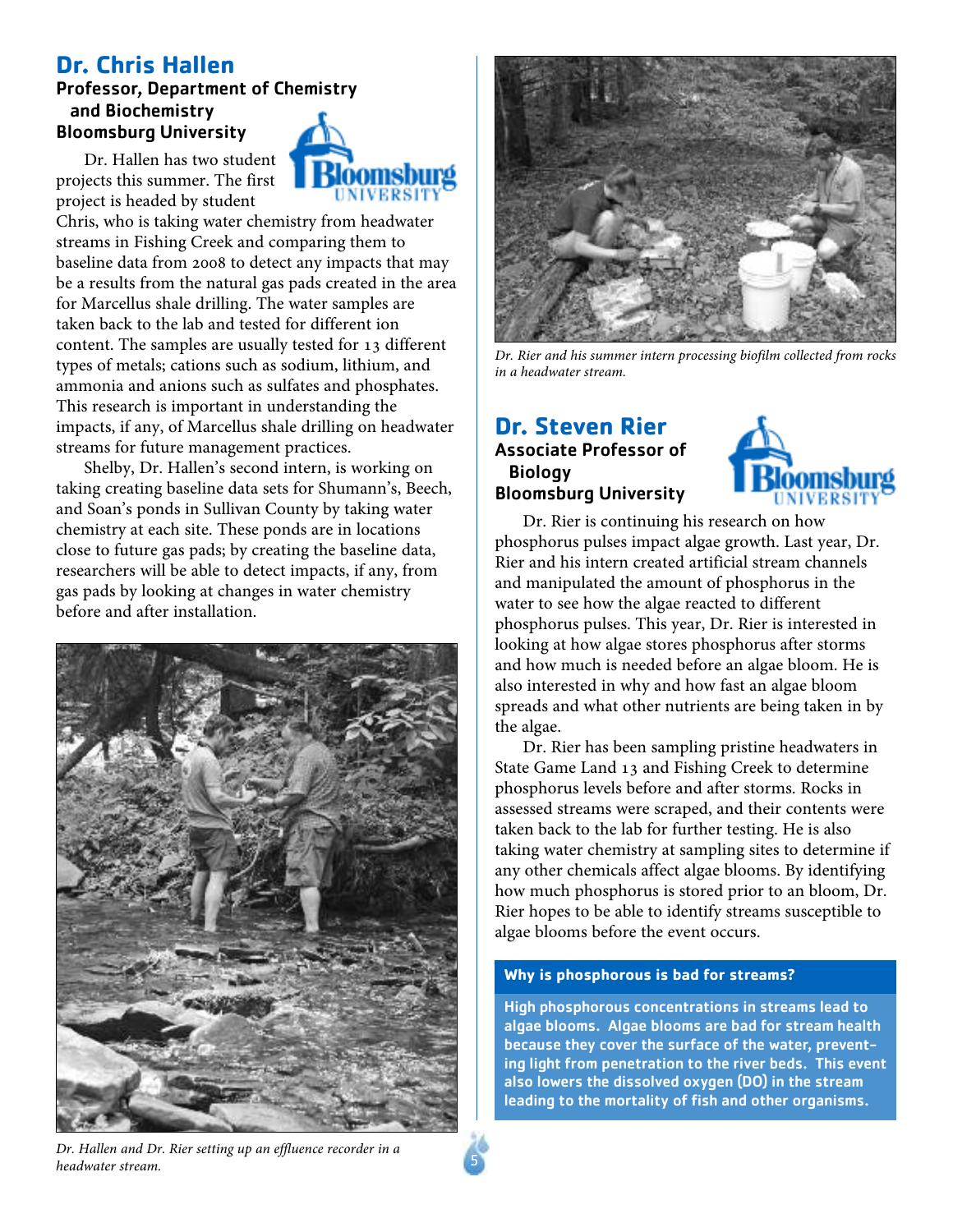### **Dr. Chris Hallen**

### Professor, Department of Chemistry and Biochemistry Bloomsburg University

Dr. Hallen has two student projects this summer. The first project is headed by student

Chris, who is taking water chemistry from headwater streams in Fishing Creek and comparing them to baseline data from 2008 to detect any impacts that may be a results from the natural gas pads created in the area for Marcellus shale drilling. The water samples are taken back to the lab and tested for different ion content. The samples are usually tested for 13 different types of metals; cations such as sodium, lithium, and ammonia and anions such as sulfates and phosphates. This research is important in understanding the impacts, if any, of Marcellus shale drilling on headwater streams for future management practices.

**UNIVERSIT** 

Shelby, Dr. Hallen's second intern, is working on taking creating baseline data sets for Shumann's, Beech, and Soan's ponds in Sullivan County by taking water chemistry at each site. These ponds are in locations close to future gas pads; by creating the baseline data, researchers will be able to detect impacts, if any, from gas pads by looking at changes in water chemistry before and after installation.





*Dr. Rier and his summer intern processing biofilm collected from rocks in a headwater stream.*

### **Dr. Steven Rier** Associate Professor of **Biology** Bloomsburg University



Dr. Rier is continuing his research on how phosphorus pulses impact algae growth. Last year, Dr. Rier and his intern created artificial stream channels and manipulated the amount of phosphorus in the water to see how the algae reacted to different phosphorus pulses. This year, Dr. Rier is interested in looking at how algae stores phosphorus after storms and how much is needed before an algae bloom. He is also interested in why and how fast an algae bloom spreads and what other nutrients are being taken in by the algae.

Dr. Rier has been sampling pristine headwaters in State Game Land 13 and Fishing Creek to determine phosphorus levels before and after storms. Rocks in assessed streams were scraped, and their contents were taken back to the lab for further testing. He is also taking water chemistry at sampling sites to determine if any other chemicals affect algae blooms. By identifying how much phosphorus is stored prior to an bloom, Dr. Rier hopes to be able to identify streams susceptible to algae blooms before the event occurs.

### **Why is phosphorous is bad for streams?**

High phosphorous concentrations in streams lead to algae blooms. Algae blooms are bad for stream health because they cover the surface of the water, preventing light from penetration to the river beds. This event also lowers the dissolved oxygen (DO) in the stream leading to the mortality of fish and other organisms.

*Dr. Hallen and Dr. Rier setting up an effluence recorder in a headwater stream.*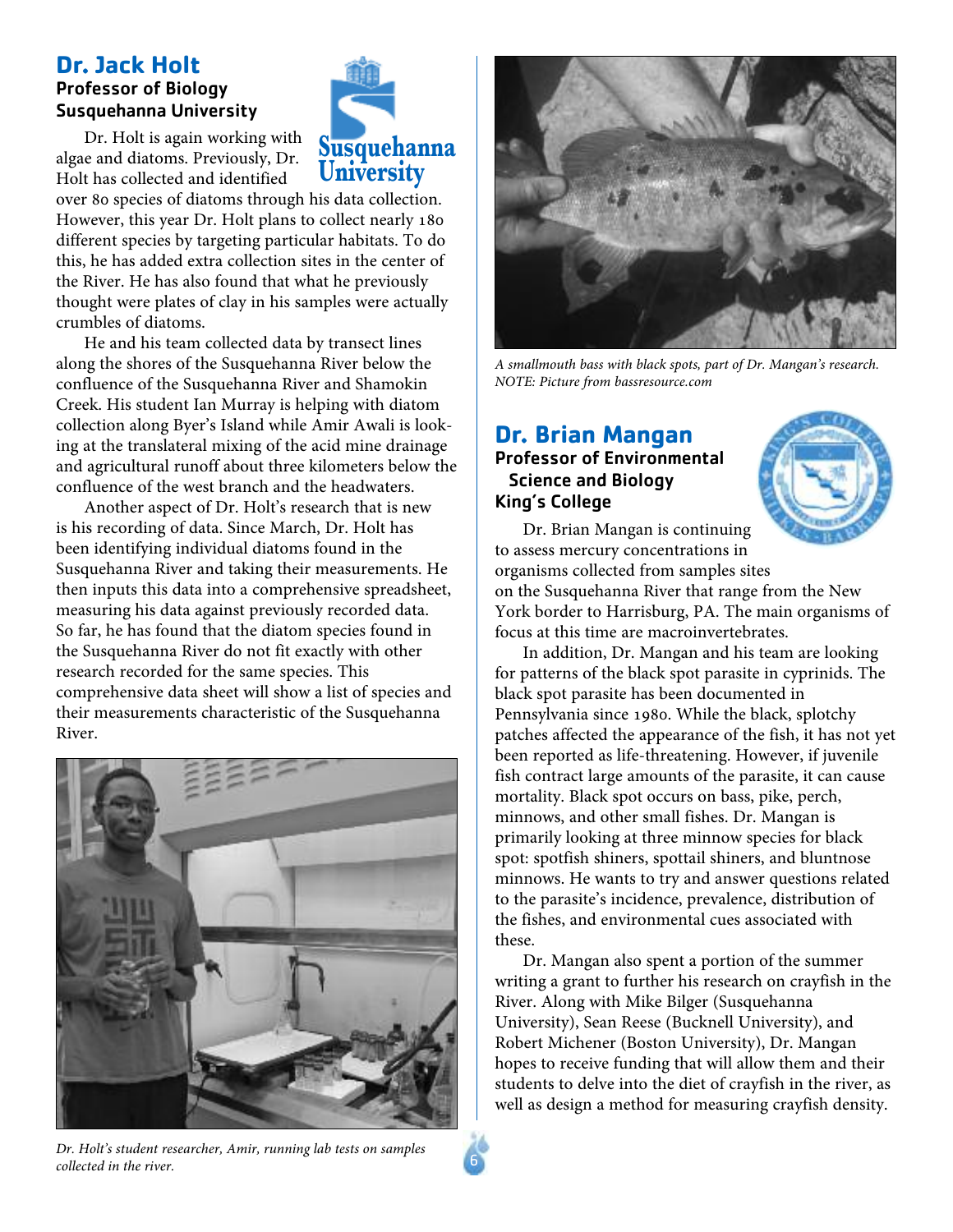### **Dr. Jack Holt** Professor of Biology Susquehanna University

Dr. Holt is again working with algae and diatoms. Previously, Dr. Holt has collected and identified

over 80 species of diatoms through his data collection. However, this year Dr. Holt plans to collect nearly 180 different species by targeting particular habitats. To do this, he has added extra collection sites in the center of the River. He has also found that what he previously thought were plates of clay in his samples were actually crumbles of diatoms.

**Susquehanna University**

He and his team collected data by transect lines along the shores of the Susquehanna River below the confluence of the Susquehanna River and Shamokin Creek. His student Ian Murray is helping with diatom collection along Byer's Island while Amir Awali is looking at the translateral mixing of the acid mine drainage and agricultural runoff about three kilometers below the confluence of the west branch and the headwaters.

Another aspect of Dr. Holt's research that is new is his recording of data. Since March, Dr. Holt has been identifying individual diatoms found in the Susquehanna River and taking their measurements. He then inputs this data into a comprehensive spreadsheet, measuring his data against previously recorded data. So far, he has found that the diatom species found in the Susquehanna River do not fit exactly with other research recorded for the same species. This comprehensive data sheet will show a list of species and their measurements characteristic of the Susquehanna River.





### Professor of Environmental Science and Biology King's College



Dr. Brian Mangan is continuing to assess mercury concentrations in organisms collected from samples sites on the Susquehanna River that range from the New York border to Harrisburg, PA. The main organisms of focus at this time are macroinvertebrates.

In addition, Dr. Mangan and his team are looking for patterns of the black spot parasite in cyprinids. The black spot parasite has been documented in Pennsylvania since 1980. While the black, splotchy patches affected the appearance of the fish, it has not yet been reported as life-threatening. However, if juvenile fish contract large amounts of the parasite, it can cause mortality. Black spot occurs on bass, pike, perch, minnows, and other small fishes. Dr. Mangan is primarily looking at three minnow species for black spot: spotfish shiners, spottail shiners, and bluntnose minnows. He wants to try and answer questions related to the parasite's incidence, prevalence, distribution of the fishes, and environmental cues associated with these.

Dr. Mangan also spent a portion of the summer writing a grant to further his research on crayfish in the River. Along with Mike Bilger (Susquehanna University), Sean Reese (Bucknell University), and Robert Michener (Boston University), Dr. Mangan hopes to receive funding that will allow them and their students to delve into the diet of crayfish in the river, as well as design a method for measuring crayfish density.

*Dr. Holt's student researcher, Amir, running lab tests on samples collected in the river.*



*A smallmouth bass with black spots, part of Dr. Mangan's research.*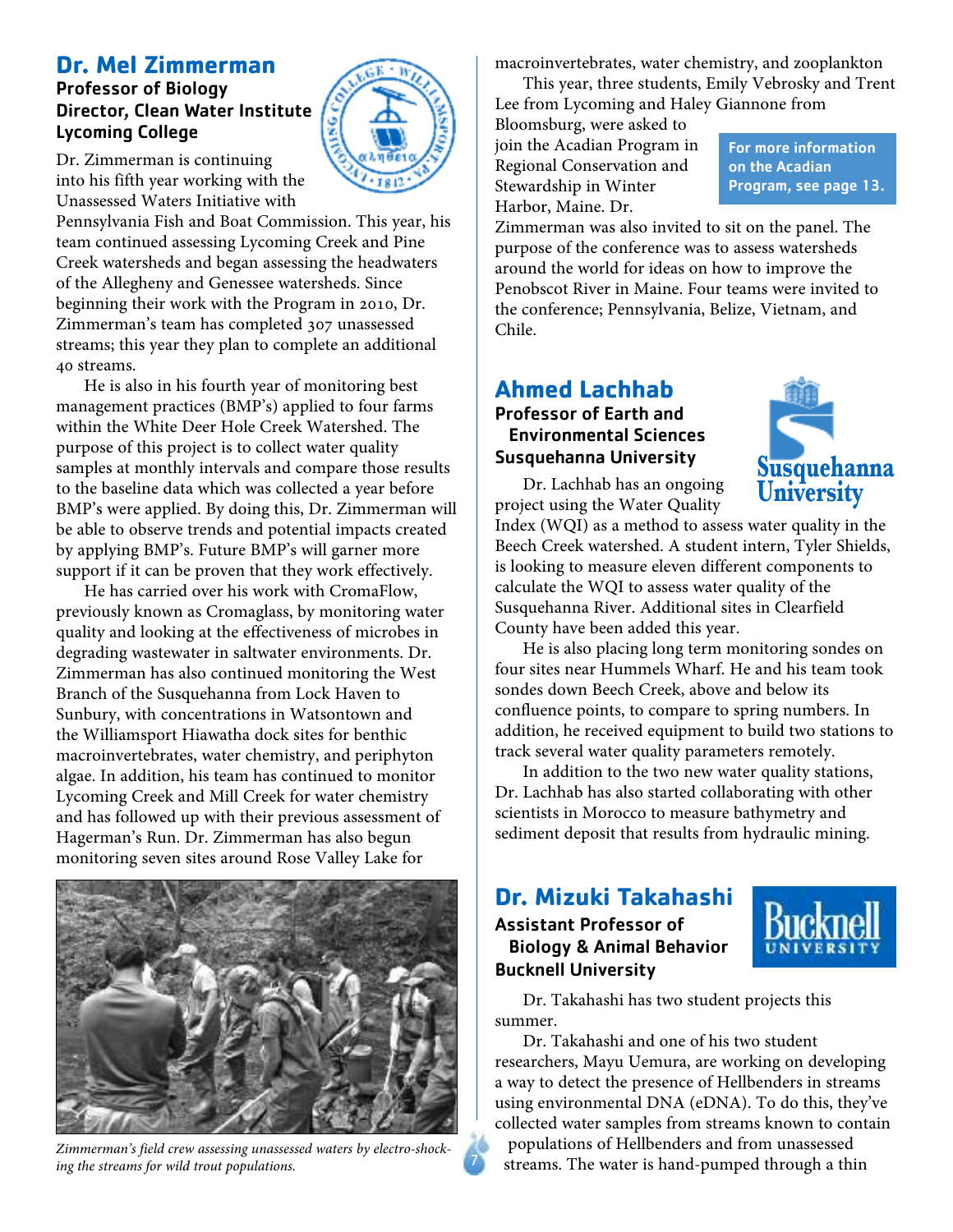### **Dr. Mel Zimmerman**

### Professor of Biology Director, Clean Water Institute Lycoming College



Dr. Zimmerman is continuing into his fifth year working with the Unassessed Waters Initiative with

Pennsylvania Fish and Boat Commission. This year, his team continued assessing Lycoming Creek and Pine Creek watersheds and began assessing the headwaters of the Allegheny and Genessee watersheds. Since beginning their work with the Program in 2010, Dr. Zimmerman's team has completed 307 unassessed streams; this year they plan to complete an additional 40 streams.

He is also in his fourth year of monitoring best management practices (BMP's) applied to four farms within the White Deer Hole Creek Watershed. The purpose of this project is to collect water quality samples at monthly intervals and compare those results to the baseline data which was collected a year before BMP's were applied. By doing this, Dr. Zimmerman will be able to observe trends and potential impacts created by applying BMP's. Future BMP's will garner more support if it can be proven that they work effectively.

He has carried over his work with CromaFlow, previously known as Cromaglass, by monitoring water quality and looking at the effectiveness of microbes in degrading wastewater in saltwater environments. Dr. Zimmerman has also continued monitoring the West Branch of the Susquehanna from Lock Haven to Sunbury, with concentrations in Watsontown and the Williamsport Hiawatha dock sites for benthic macroinvertebrates, water chemistry, and periphyton algae. In addition, his team has continued to monitor Lycoming Creek and Mill Creek for water chemistry and has followed up with their previous assessment of Hagerman's Run. Dr. Zimmerman has also begun monitoring seven sites around Rose Valley Lake for



*Zimmerman's field crew assessing unassessed waters by electro-shocking the streams for wild trout populations.*

macroinvertebrates, water chemistry, and zooplankton

This year, three students, Emily Vebrosky and Trent Lee from Lycoming and Haley Giannone from

Bloomsburg, were asked to join the Acadian Program in Regional Conservation and Stewardship in Winter Harbor, Maine. Dr.

For more information on the Acadian Program, see page 13.

Zimmerman was also invited to sit on the panel. The purpose of the conference was to assess watersheds around the world for ideas on how to improve the Penobscot River in Maine. Four teams were invited to the conference; Pennsylvania, Belize, Vietnam, and Chile.

### **Ahmed Lachhab** Professor of Earth and Environmental Sciences Susquehanna University

Dr. Lachhab has an ongoing project using the Water Quality



Index (WQI) as a method to assess water quality in the Beech Creek watershed. A student intern, Tyler Shields, is looking to measure eleven different components to calculate the WQI to assess water quality of the Susquehanna River. Additional sites in Clearfield County have been added this year.

He is also placing long term monitoring sondes on four sites near Hummels Wharf. He and his team took sondes down Beech Creek, above and below its confluence points, to compare to spring numbers. In addition, he received equipment to build two stations to track several water quality parameters remotely.

In addition to the two new water quality stations, Dr. Lachhab has also started collaborating with other scientists in Morocco to measure bathymetry and sediment deposit that results from hydraulic mining.

### **Dr. Mizuki Takahashi**

Assistant Professor of Biology & Animal Behavior Bucknell University



Dr. Takahashi has two student projects this summer.

Dr. Takahashi and one of his two student researchers, Mayu Uemura, are working on developing a way to detect the presence of Hellbenders in streams using environmental DNA (eDNA). To do this, they've collected water samples from streams known to contain

populations of Hellbenders and from unassessed streams. The water is hand-pumped through a thin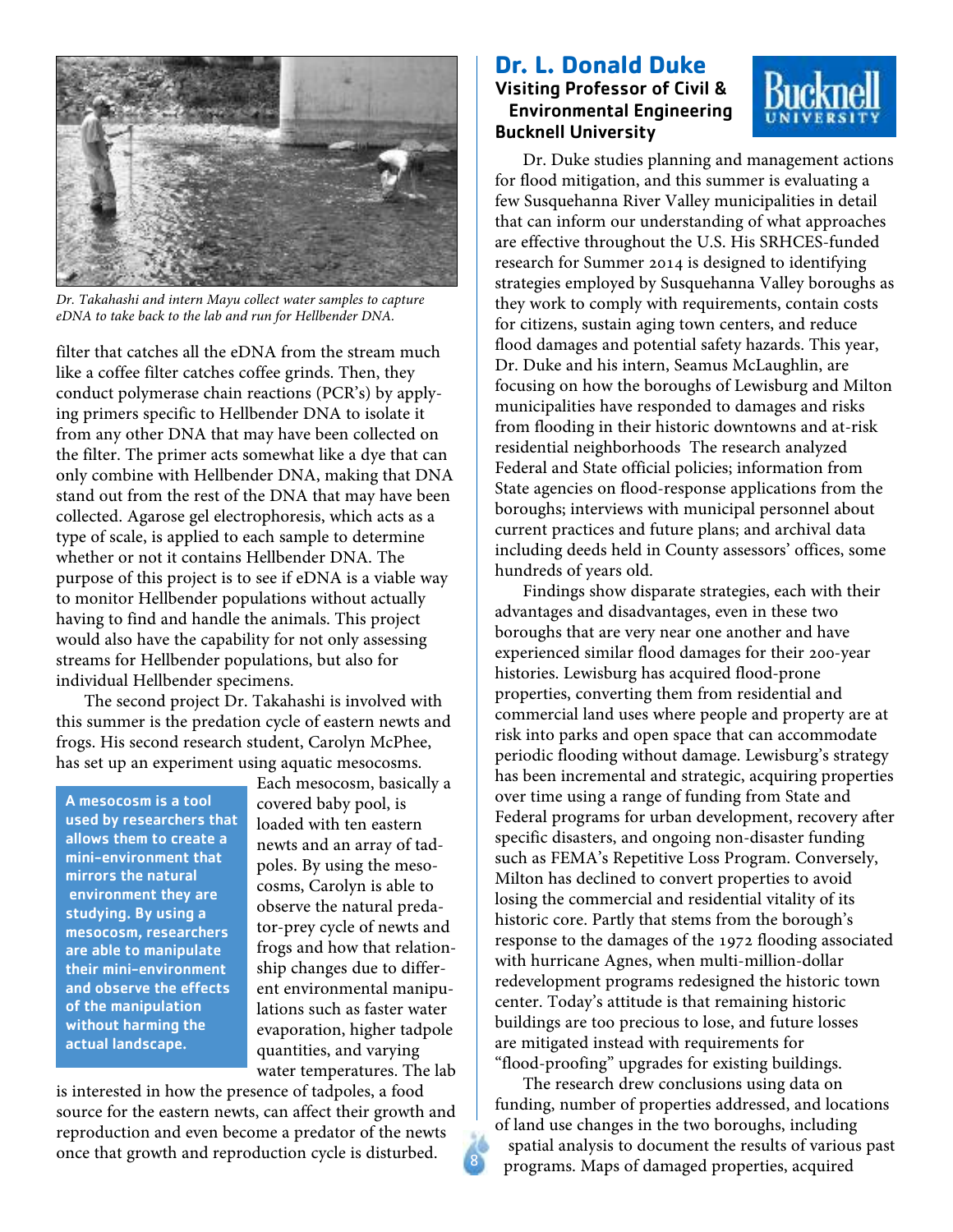

*Dr. Takahashi and intern Mayu collect water samples to capture eDNA to take back to the lab and run for Hellbender DNA.*

filter that catches all the eDNA from the stream much like a coffee filter catches coffee grinds. Then, they conduct polymerase chain reactions (PCR's) by applying primers specific to Hellbender DNA to isolate it from any other DNA that may have been collected on the filter. The primer acts somewhat like a dye that can only combine with Hellbender DNA, making that DNA stand out from the rest of the DNA that may have been collected. Agarose gel electrophoresis, which acts as a type of scale, is applied to each sample to determine whether or not it contains Hellbender DNA. The purpose of this project is to see if eDNA is a viable way to monitor Hellbender populations without actually having to find and handle the animals. This project would also have the capability for not only assessing streams for Hellbender populations, but also for individual Hellbender specimens.

The second project Dr. Takahashi is involved with this summer is the predation cycle of eastern newts and frogs. His second research student, Carolyn McPhee, has set up an experiment using aquatic mesocosms.

A mesocosm is a tool used by researchers that allows them to create a mini-environment that mirrors the natural environment they are studying. By using a mesocosm, researchers are able to manipulate their mini-environment and observe the effects of the manipulation without harming the actual landscape.

Each mesocosm, basically a covered baby pool, is loaded with ten eastern newts and an array of tadpoles. By using the mesocosms, Carolyn is able to observe the natural predator-prey cycle of newts and frogs and how that relationship changes due to different environmental manipulations such as faster water evaporation, higher tadpole quantities, and varying water temperatures. The lab

is interested in how the presence of tadpoles, a food source for the eastern newts, can affect their growth and reproduction and even become a predator of the newts once that growth and reproduction cycle is disturbed.

### **Dr. L. Donald Duke** Visiting Professor of Civil & Environmental Engineering Bucknell University



Dr. Duke studies planning and management actions for flood mitigation, and this summer is evaluating a few Susquehanna River Valley municipalities in detail that can inform our understanding of what approaches are effective throughout the U.S. His SRHCES-funded research for Summer 2014 is designed to identifying strategies employed by Susquehanna Valley boroughs as they work to comply with requirements, contain costs for citizens, sustain aging town centers, and reduce flood damages and potential safety hazards. This year, Dr. Duke and his intern, Seamus McLaughlin, are focusing on how the boroughs of Lewisburg and Milton municipalities have responded to damages and risks from flooding in their historic downtowns and at-risk residential neighborhoods The research analyzed Federal and State official policies; information from State agencies on flood-response applications from the boroughs; interviews with municipal personnel about current practices and future plans; and archival data including deeds held in County assessors' offices, some hundreds of years old.

Findings show disparate strategies, each with their advantages and disadvantages, even in these two boroughs that are very near one another and have experienced similar flood damages for their 200-year histories. Lewisburg has acquired flood-prone properties, converting them from residential and commercial land uses where people and property are at risk into parks and open space that can accommodate periodic flooding without damage. Lewisburg's strategy has been incremental and strategic, acquiring properties over time using a range of funding from State and Federal programs for urban development, recovery after specific disasters, and ongoing non-disaster funding such as FEMA's Repetitive Loss Program. Conversely, Milton has declined to convert properties to avoid losing the commercial and residential vitality of its historic core. Partly that stems from the borough's response to the damages of the 1972 flooding associated with hurricane Agnes, when multi-million-dollar redevelopment programs redesigned the historic town center. Today's attitude is that remaining historic buildings are too precious to lose, and future losses are mitigated instead with requirements for "flood-proofing" upgrades for existing buildings.

The research drew conclusions using data on funding, number of properties addressed, and locations of land use changes in the two boroughs, including spatial analysis to document the results of various past programs. Maps of damaged properties, acquired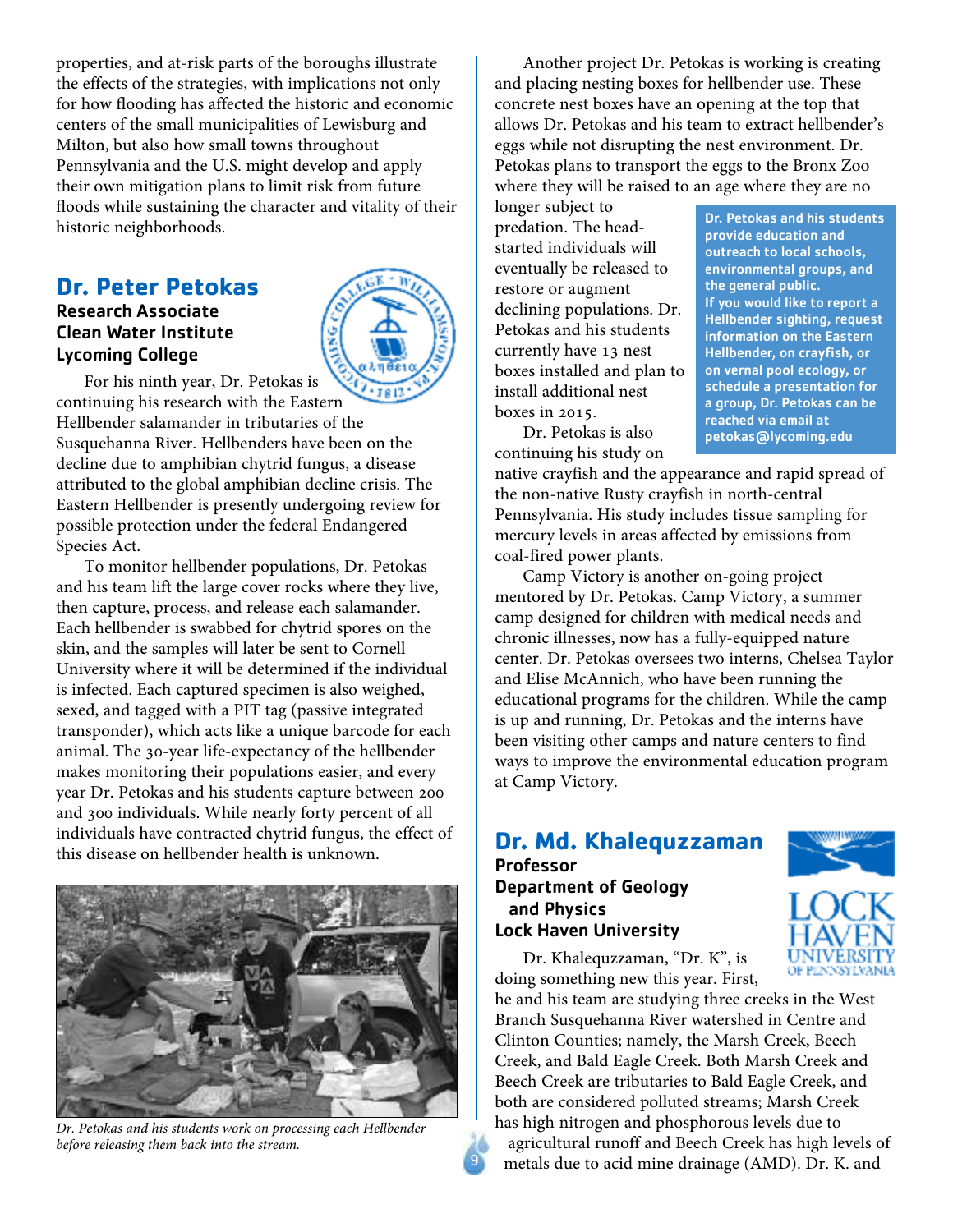properties, and at-risk parts of the boroughs illustrate the effects of the strategies, with implications not only for how flooding has affected the historic and economic centers of the small municipalities of Lewisburg and Milton, but also how small towns throughout Pennsylvania and the U.S. might develop and apply their own mitigation plans to limit risk from future floods while sustaining the character and vitality of their historic neighborhoods.

### **Dr. Peter Petokas**

### Research Associate Clean Water Institute Lycoming College



For his ninth year, Dr. Petokas is

continuing his research with the Eastern Hellbender salamander in tributaries of the Susquehanna River. Hellbenders have been on the decline due to amphibian chytrid fungus, a disease attributed to the global amphibian decline crisis. The Eastern Hellbender is presently undergoing review for possible protection under the federal Endangered Species Act.

To monitor hellbender populations, Dr. Petokas and his team lift the large cover rocks where they live, then capture, process, and release each salamander. Each hellbender is swabbed for chytrid spores on the skin, and the samples will later be sent to Cornell University where it will be determined if the individual is infected. Each captured specimen is also weighed, sexed, and tagged with a PIT tag (passive integrated transponder), which acts like a unique barcode for each animal. The 30-year life-expectancy of the hellbender makes monitoring their populations easier, and every year Dr. Petokas and his students capture between 200 and 300 individuals. While nearly forty percent of all individuals have contracted chytrid fungus, the effect of this disease on hellbender health is unknown.



*Dr. Petokas and his students work on processing each Hellbender before releasing them back into the stream.*

Another project Dr. Petokas is working is creating and placing nesting boxes for hellbender use. These concrete nest boxes have an opening at the top that allows Dr. Petokas and his team to extract hellbender's eggs while not disrupting the nest environment. Dr. Petokas plans to transport the eggs to the Bronx Zoo where they will be raised to an age where they are no

longer subject to predation. The headstarted individuals will eventually be released to restore or augment declining populations. Dr. Petokas and his students currently have 13 nest boxes installed and plan to install additional nest boxes in 2015.

Dr. Petokas and his students provide education and outreach to local schools, environmental groups, and the general public. If you would like to report a Hellbender sighting, request information on the Eastern Hellbender, on crayfish, or on vernal pool ecology, or schedule a presentation for a group, Dr. Petokas can be reached via email at petokas@lycoming.edu

Dr. Petokas is also continuing his study on

native crayfish and the appearance and rapid spread of the non-native Rusty crayfish in north-central Pennsylvania. His study includes tissue sampling for mercury levels in areas affected by emissions from coal-fired power plants.

Camp Victory is another on-going project mentored by Dr. Petokas. Camp Victory, a summer camp designed for children with medical needs and chronic illnesses, now has a fully-equipped nature center. Dr. Petokas oversees two interns, Chelsea Taylor and Elise McAnnich, who have been running the educational programs for the children. While the camp is up and running, Dr. Petokas and the interns have been visiting other camps and nature centers to find ways to improve the environmental education program at Camp Victory.

### **Dr. Md. Khalequzzaman** Professor

Department of Geology and Physics Lock Haven University



he and his team are studying three creeks in the West Branch Susquehanna River watershed in Centre and Clinton Counties; namely, the Marsh Creek, Beech Creek, and Bald Eagle Creek. Both Marsh Creek and Beech Creek are tributaries to Bald Eagle Creek, and both are considered polluted streams; Marsh Creek has high nitrogen and phosphorous levels due to agricultural runoff and Beech Creek has high levels of

metals due to acid mine drainage (AMD). Dr. K. and



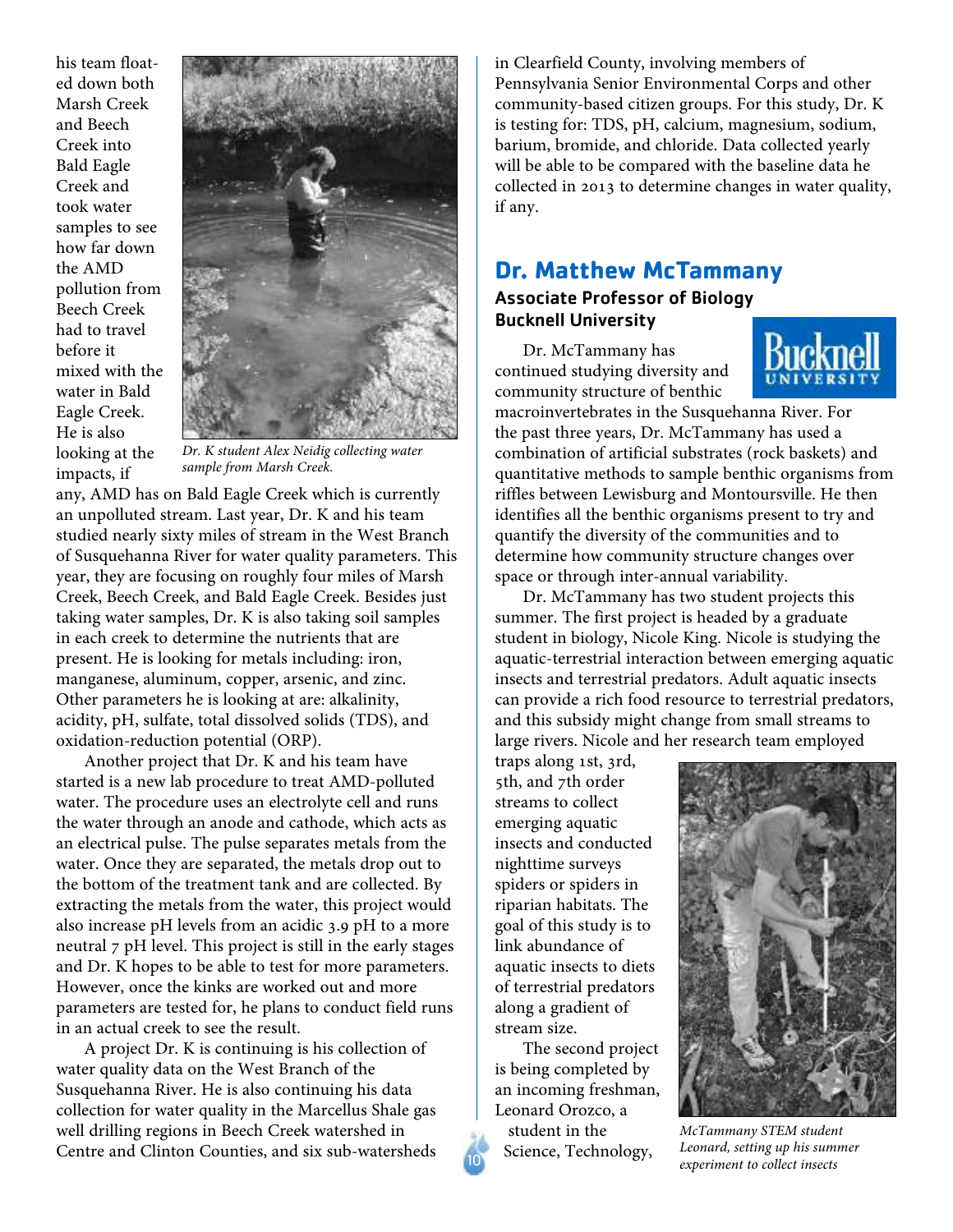his team floated down both Marsh Creek and Beech Creek into Bald Eagle Creek and took water samples to see how far down the AMD pollution from Beech Creek had to travel before it mixed with the water in Bald Eagle Creek. He is also looking at the impacts, if



*Dr. K student Alex Neidig collecting water sample from Marsh Creek.*

any, AMD has on Bald Eagle Creek which is currently an unpolluted stream. Last year, Dr. K and his team studied nearly sixty miles of stream in the West Branch of Susquehanna River for water quality parameters. This year, they are focusing on roughly four miles of Marsh Creek, Beech Creek, and Bald Eagle Creek. Besides just taking water samples, Dr. K is also taking soil samples in each creek to determine the nutrients that are present. He is looking for metals including: iron, manganese, aluminum, copper, arsenic, and zinc. Other parameters he is looking at are: alkalinity, acidity, pH, sulfate, total dissolved solids (TDS), and oxidation-reduction potential (ORP).

Another project that Dr. K and his team have started is a new lab procedure to treat AMD-polluted water. The procedure uses an electrolyte cell and runs the water through an anode and cathode, which acts as an electrical pulse. The pulse separates metals from the water. Once they are separated, the metals drop out to the bottom of the treatment tank and are collected. By extracting the metals from the water, this project would also increase pH levels from an acidic 3.9 pH to a more neutral 7 pH level. This project is still in the early stages and Dr. K hopes to be able to test for more parameters. However, once the kinks are worked out and more parameters are tested for, he plans to conduct field runs in an actual creek to see the result.

A project Dr. K is continuing is his collection of water quality data on the West Branch of the Susquehanna River. He is also continuing his data collection for water quality in the Marcellus Shale gas well drilling regions in Beech Creek watershed in Centre and Clinton Counties, and six sub-watersheds in Clearfield County, involving members of Pennsylvania Senior Environmental Corps and other community-based citizen groups. For this study, Dr. K is testing for: TDS, pH, calcium, magnesium, sodium, barium, bromide, and chloride. Data collected yearly will be able to be compared with the baseline data he collected in 2013 to determine changes in water quality, if any.

### **Dr. Matthew McTammany**

### Associate Professor of Biology Bucknell University

Dr. McTammany has continued studying diversity and community structure of benthic



macroinvertebrates in the Susquehanna River. For the past three years, Dr. McTammany has used a combination of artificial substrates (rock baskets) and quantitative methods to sample benthic organisms from riffles between Lewisburg and Montoursville. He then identifies all the benthic organisms present to try and quantify the diversity of the communities and to determine how community structure changes over space or through inter-annual variability.

Dr. McTammany has two student projects this summer. The first project is headed by a graduate student in biology, Nicole King. Nicole is studying the aquatic-terrestrial interaction between emerging aquatic insects and terrestrial predators. Adult aquatic insects can provide a rich food resource to terrestrial predators, and this subsidy might change from small streams to large rivers. Nicole and her research team employed

traps along 1st, 3rd, 5th, and 7th order streams to collect emerging aquatic insects and conducted nighttime surveys spiders or spiders in riparian habitats. The goal of this study is to link abundance of aquatic insects to diets of terrestrial predators along a gradient of stream size.

The second project is being completed by an incoming freshman, Leonard Orozco, a student in the Science, Technology,



*McTammany STEM student Leonard, setting up his summer experiment to collect insects*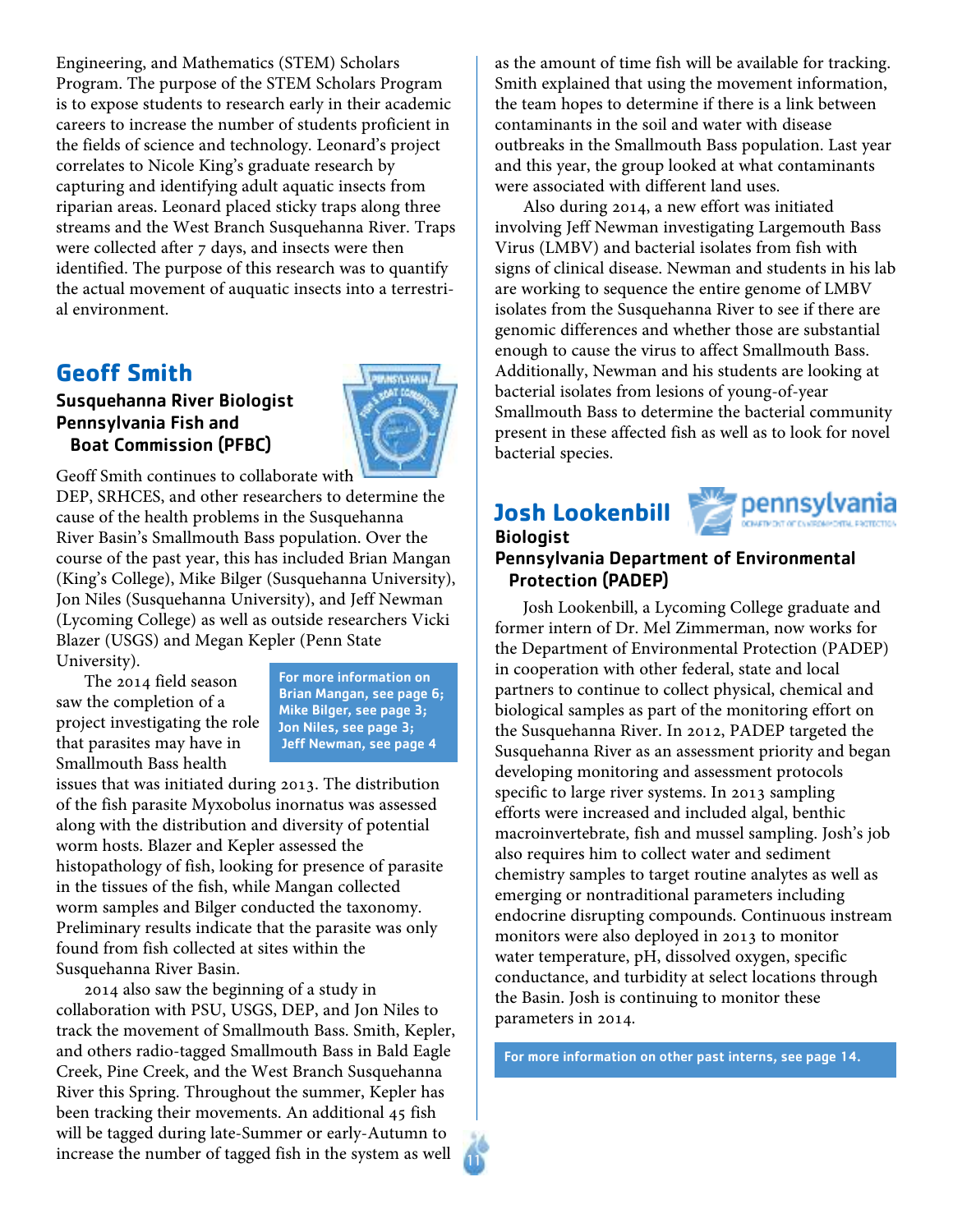Engineering, and Mathematics (STEM) Scholars Program. The purpose of the STEM Scholars Program is to expose students to research early in their academic careers to increase the number of students proficient in the fields of science and technology. Leonard's project correlates to Nicole King's graduate research by capturing and identifying adult aquatic insects from riparian areas. Leonard placed sticky traps along three streams and the West Branch Susquehanna River. Traps were collected after 7 days, and insects were then identified. The purpose of this research was to quantify the actual movement of auquatic insects into a terrestrial environment.

### **Geoff Smith**

### Susquehanna River Biologist Pennsylvania Fish and Boat Commission (PFBC)



Geoff Smith continues to collaborate with

DEP, SRHCES, and other researchers to determine the cause of the health problems in the Susquehanna River Basin's Smallmouth Bass population. Over the course of the past year, this has included Brian Mangan (King's College), Mike Bilger (Susquehanna University), Jon Niles (Susquehanna University), and Jeff Newman (Lycoming College) as well as outside researchers Vicki Blazer (USGS) and Megan Kepler (Penn State University).

The 2014 field season saw the completion of a project investigating the role that parasites may have in Smallmouth Bass health

For more information on Brian Mangan, see page 6; Mike Bilger, see page 3; Jon Niles, see page 3; Jeff Newman, see page 4

11

issues that was initiated during 2013. The distribution of the fish parasite Myxobolus inornatus was assessed along with the distribution and diversity of potential worm hosts. Blazer and Kepler assessed the histopathology of fish, looking for presence of parasite in the tissues of the fish, while Mangan collected worm samples and Bilger conducted the taxonomy. Preliminary results indicate that the parasite was only found from fish collected at sites within the Susquehanna River Basin.

2014 also saw the beginning of a study in collaboration with PSU, USGS, DEP, and Jon Niles to track the movement of Smallmouth Bass. Smith, Kepler, and others radio-tagged Smallmouth Bass in Bald Eagle Creek, Pine Creek, and the West Branch Susquehanna River this Spring. Throughout the summer, Kepler has been tracking their movements. An additional 45 fish will be tagged during late-Summer or early-Autumn to increase the number of tagged fish in the system as well

as the amount of time fish will be available for tracking. Smith explained that using the movement information, the team hopes to determine if there is a link between contaminants in the soil and water with disease outbreaks in the Smallmouth Bass population. Last year and this year, the group looked at what contaminants were associated with different land uses.

Also during 2014, a new effort was initiated involving Jeff Newman investigating Largemouth Bass Virus (LMBV) and bacterial isolates from fish with signs of clinical disease. Newman and students in his lab are working to sequence the entire genome of LMBV isolates from the Susquehanna River to see if there are genomic differences and whether those are substantial enough to cause the virus to affect Smallmouth Bass. Additionally, Newman and his students are looking at bacterial isolates from lesions of young-of-year Smallmouth Bass to determine the bacterial community present in these affected fish as well as to look for novel bacterial species.

### **Josh Lookenbill**



### Biologist Pennsylvania Department of Environmental Protection (PADEP)

Josh Lookenbill, a Lycoming College graduate and former intern of Dr. Mel Zimmerman, now works for the Department of Environmental Protection (PADEP) in cooperation with other federal, state and local partners to continue to collect physical, chemical and biological samples as part of the monitoring effort on the Susquehanna River. In 2012, PADEP targeted the Susquehanna River as an assessment priority and began developing monitoring and assessment protocols specific to large river systems. In 2013 sampling efforts were increased and included algal, benthic macroinvertebrate, fish and mussel sampling. Josh's job also requires him to collect water and sediment chemistry samples to target routine analytes as well as emerging or nontraditional parameters including endocrine disrupting compounds. Continuous instream monitors were also deployed in 2013 to monitor water temperature, pH, dissolved oxygen, specific conductance, and turbidity at select locations through the Basin. Josh is continuing to monitor these parameters in 2014.

For more information on other past interns, see page 14.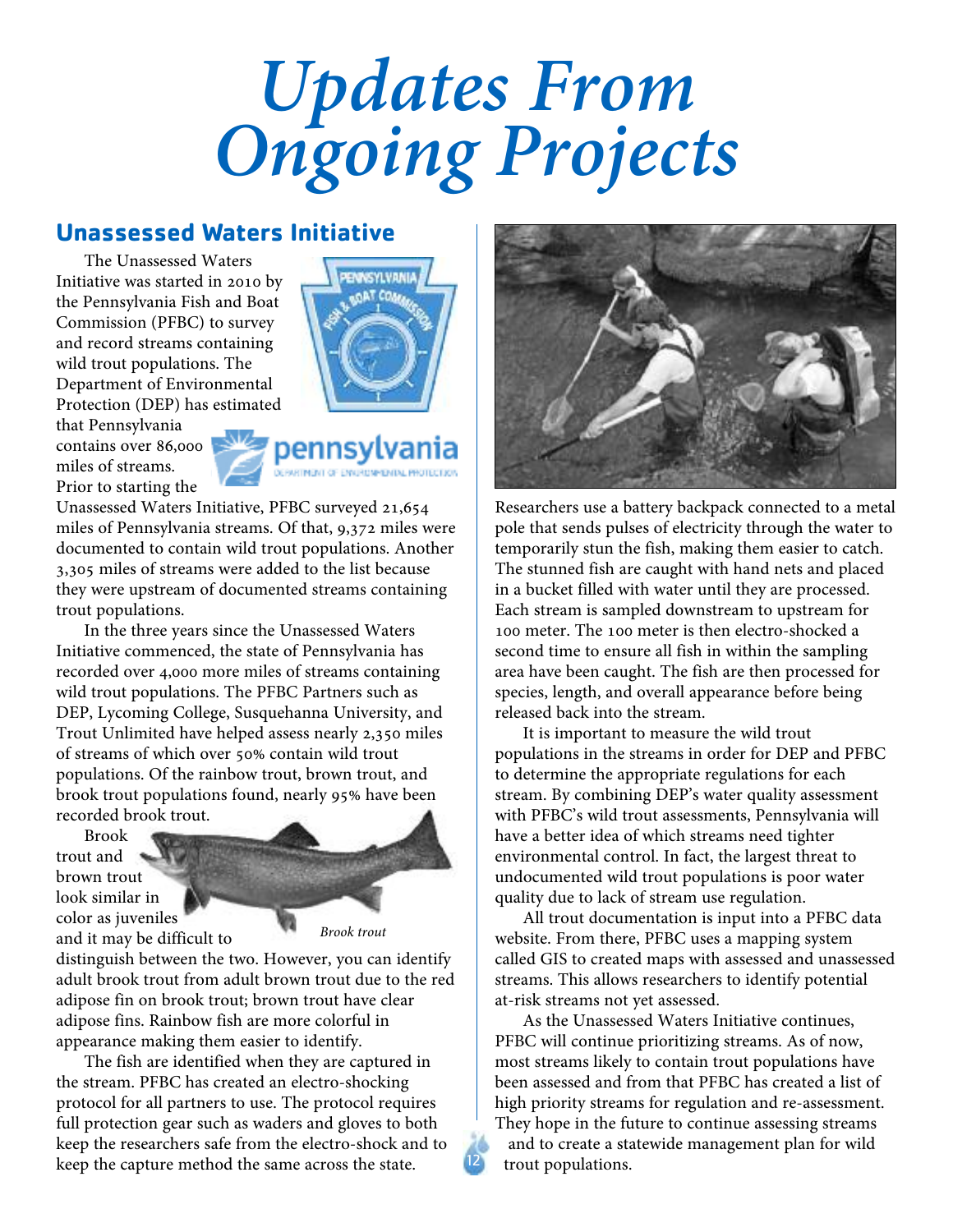## *Updates From Ongoing Projects*

### **Unassessed Waters Initiative**

The Unassessed Waters Initiative was started in 2010 by the Pennsylvania Fish and Boat Commission (PFBC) to survey and record streams containing wild trout populations. The Department of Environmental Protection (DEP) has estimated

that Pennsylvania contains over 86,000 miles of streams. Prior to starting the



pennsylvania

Unassessed Waters Initiative, PFBC surveyed 21,654 miles of Pennsylvania streams. Of that, 9,372 miles were documented to contain wild trout populations. Another 3,305 miles of streams were added to the list because they were upstream of documented streams containing trout populations.

In the three years since the Unassessed Waters Initiative commenced, the state of Pennsylvania has recorded over 4,000 more miles of streams containing wild trout populations. The PFBC Partners such as DEP, Lycoming College, Susquehanna University, and Trout Unlimited have helped assess nearly 2,350 miles of streams of which over 50% contain wild trout populations. Of the rainbow trout, brown trout, and brook trout populations found, nearly 95% have been recorded brook trout.

Brook trout and brown trout look similar in color as juveniles and it may be difficult to



12

distinguish between the two. However, you can identify adult brook trout from adult brown trout due to the red adipose fin on brook trout; brown trout have clear adipose fins. Rainbow fish are more colorful in appearance making them easier to identify.

The fish are identified when they are captured in the stream. PFBC has created an electro-shocking protocol for all partners to use. The protocol requires full protection gear such as waders and gloves to both keep the researchers safe from the electro-shock and to keep the capture method the same across the state.



Researchers use a battery backpack connected to a metal pole that sends pulses of electricity through the water to temporarily stun the fish, making them easier to catch. The stunned fish are caught with hand nets and placed in a bucket filled with water until they are processed. Each stream is sampled downstream to upstream for 100 meter. The 100 meter is then electro-shocked a second time to ensure all fish in within the sampling area have been caught. The fish are then processed for species, length, and overall appearance before being released back into the stream.

It is important to measure the wild trout populations in the streams in order for DEP and PFBC to determine the appropriate regulations for each stream. By combining DEP's water quality assessment with PFBC's wild trout assessments, Pennsylvania will have a better idea of which streams need tighter environmental control. In fact, the largest threat to undocumented wild trout populations is poor water quality due to lack of stream use regulation.

All trout documentation is input into a PFBC data website. From there, PFBC uses a mapping system called GIS to created maps with assessed and unassessed streams. This allows researchers to identify potential at-risk streams not yet assessed.

As the Unassessed Waters Initiative continues, PFBC will continue prioritizing streams. As of now, most streams likely to contain trout populations have been assessed and from that PFBC has created a list of high priority streams for regulation and re-assessment. They hope in the future to continue assessing streams and to create a statewide management plan for wild trout populations.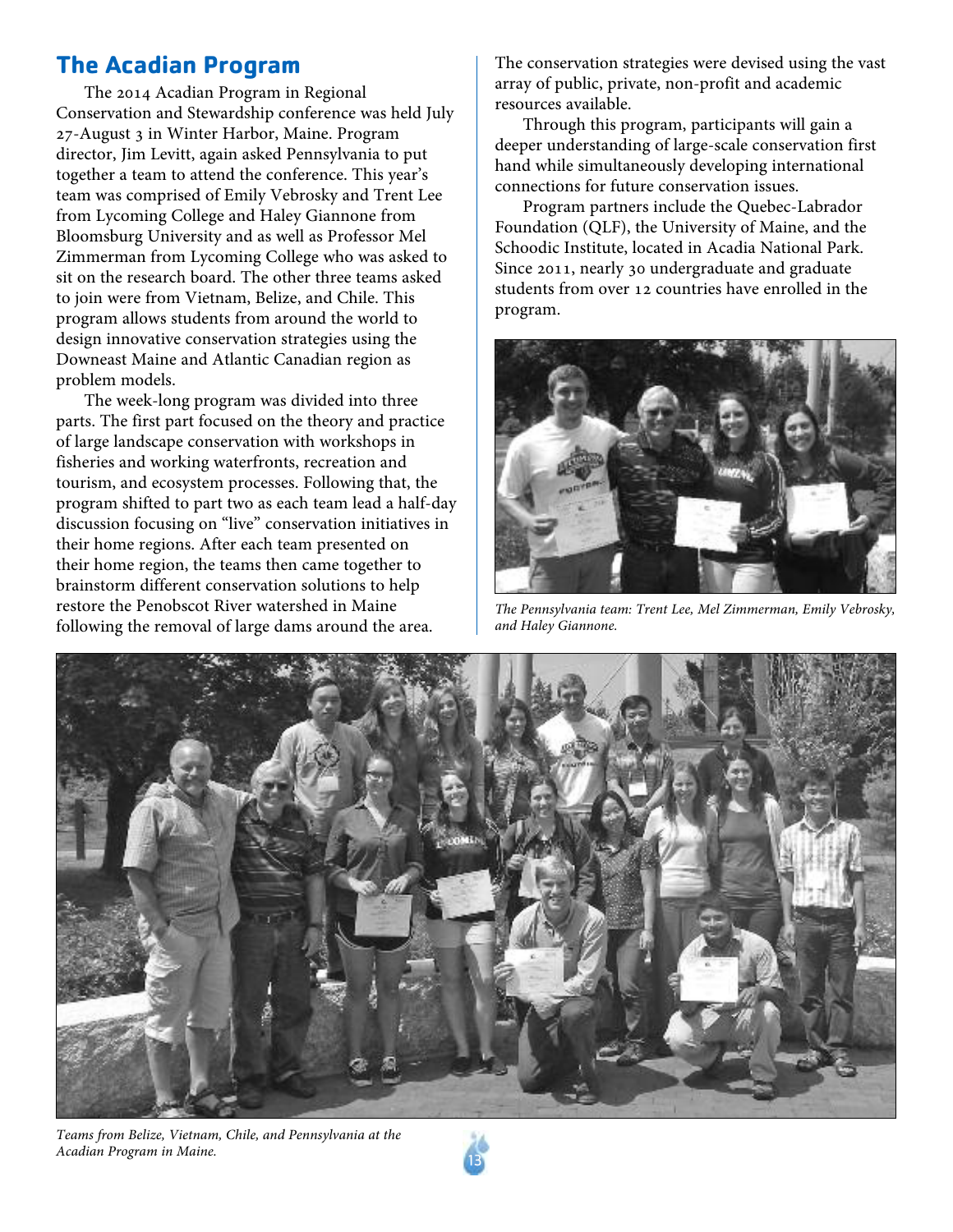### **The Acadian Program**

The 2014 Acadian Program in Regional Conservation and Stewardship conference was held July 27-August 3 in Winter Harbor, Maine. Program director, Jim Levitt, again asked Pennsylvania to put together a team to attend the conference. This year's team was comprised of Emily Vebrosky and Trent Lee from Lycoming College and Haley Giannone from Bloomsburg University and as well as Professor Mel Zimmerman from Lycoming College who was asked to sit on the research board. The other three teams asked to join were from Vietnam, Belize, and Chile. This program allows students from around the world to design innovative conservation strategies using the Downeast Maine and Atlantic Canadian region as problem models.

The week-long program was divided into three parts. The first part focused on the theory and practice of large landscape conservation with workshops in fisheries and working waterfronts, recreation and tourism, and ecosystem processes. Following that, the program shifted to part two as each team lead a half-day discussion focusing on "live" conservation initiatives in their home regions. After each team presented on their home region, the teams then came together to brainstorm different conservation solutions to help restore the Penobscot River watershed in Maine following the removal of large dams around the area.

The conservation strategies were devised using the vast array of public, private, non-profit and academic resources available.

Through this program, participants will gain a deeper understanding of large-scale conservation first hand while simultaneously developing international connections for future conservation issues.

Program partners include the Quebec-Labrador Foundation (QLF), the University of Maine, and the Schoodic Institute, located in Acadia National Park. Since 2011, nearly 30 undergraduate and graduate students from over 12 countries have enrolled in the program.



*The Pennsylvania team: Trent Lee, Mel Zimmerman, Emily Vebrosky, and Haley Giannone.*



*Teams from Belize, Vietnam, Chile, and Pennsylvania at the Acadian Program in Maine.* <sup>13</sup>

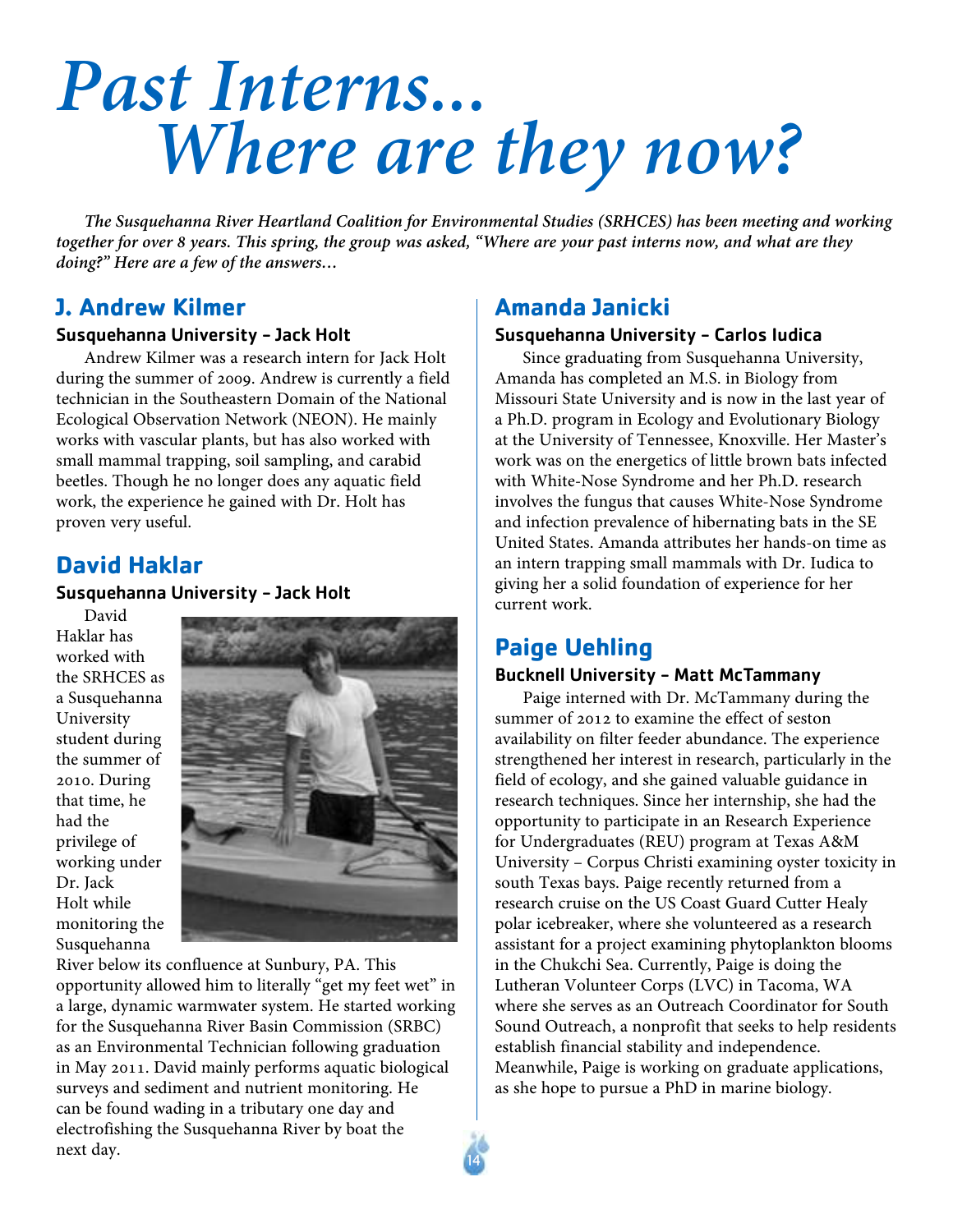### *Past Interns... Where are they now?*

*The Susquehanna River Heartland Coalition for Environmental Studies (SRHCES) has been meeting and working* together for over 8 years. This spring, the group was asked, "Where are your past interns now, and what are thev *doing?" Here are a few of the answers…*

### **J. Andrew Kilmer**

### Susquehanna University - Jack Holt

Andrew Kilmer was a research intern for Jack Holt during the summer of 2009. Andrew is currently a field technician in the Southeastern Domain of the National Ecological Observation Network (NEON). He mainly works with vascular plants, but has also worked with small mammal trapping, soil sampling, and carabid beetles. Though he no longer does any aquatic field work, the experience he gained with Dr. Holt has proven very useful.

### **David Haklar**

### Susquehanna University - Jack Holt

David Haklar has worked with the SRHCES as a Susquehanna University student during the summer of 2010. During that time, he had the privilege of working under Dr. Jack Holt while monitoring the Susquehanna



River below its confluence at Sunbury, PA. This opportunity allowed him to literally "get my feet wet" in a large, dynamic warmwater system. He started working for the Susquehanna River Basin Commission (SRBC) as an Environmental Technician following graduation in May 2011. David mainly performs aquatic biological surveys and sediment and nutrient monitoring. He can be found wading in a tributary one day and electrofishing the Susquehanna River by boat the next day. (14) the contract of the contract of the contract of the contract of the contract of the contract of the contract of the contract of the contract of the contract of the contract of the contract of the contract of

### **Amanda Janicki**

### Susquehanna University - Carlos Iudica

Since graduating from Susquehanna University, Amanda has completed an M.S. in Biology from Missouri State University and is now in the last year of a Ph.D. program in Ecology and Evolutionary Biology at the University of Tennessee, Knoxville. Her Master's work was on the energetics of little brown bats infected with White-Nose Syndrome and her Ph.D. research involves the fungus that causes White-Nose Syndrome and infection prevalence of hibernating bats in the SE United States. Amanda attributes her hands-on time as an intern trapping small mammals with Dr. Iudica to giving her a solid foundation of experience for her current work.

### **Paige Uehling**

### Bucknell University - Matt McTammany

Paige interned with Dr. McTammany during the summer of 2012 to examine the effect of seston availability on filter feeder abundance. The experience strengthened her interest in research, particularly in the field of ecology, and she gained valuable guidance in research techniques. Since her internship, she had the opportunity to participate in an Research Experience for Undergraduates (REU) program at Texas A&M University – Corpus Christi examining oyster toxicity in south Texas bays. Paige recently returned from a research cruise on the US Coast Guard Cutter Healy polar icebreaker, where she volunteered as a research assistant for a project examining phytoplankton blooms in the Chukchi Sea. Currently, Paige is doing the Lutheran Volunteer Corps (LVC) in Tacoma, WA where she serves as an Outreach Coordinator for South Sound Outreach, a nonprofit that seeks to help residents establish financial stability and independence. Meanwhile, Paige is working on graduate applications, as she hope to pursue a PhD in marine biology.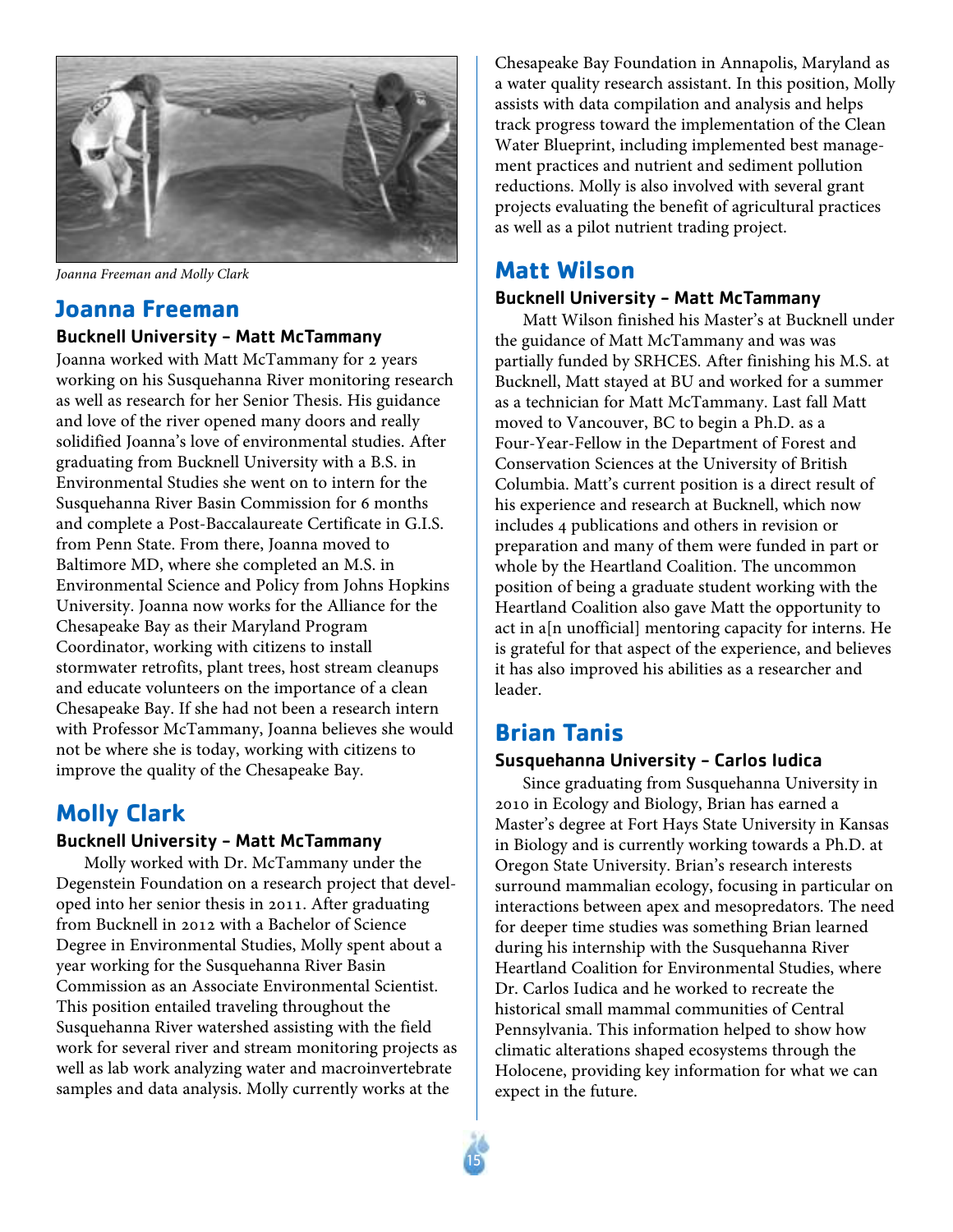

*Joanna Freeman and Molly Clark*

### **Joanna Freeman**

### Bucknell University - Matt McTammany

Joanna worked with Matt McTammany for 2 years working on his Susquehanna River monitoring research as well as research for her Senior Thesis. His guidance and love of the river opened many doors and really solidified Joanna's love of environmental studies. After graduating from Bucknell University with a B.S. in Environmental Studies she went on to intern for the Susquehanna River Basin Commission for 6 months and complete a Post-Baccalaureate Certificate in G.I.S. from Penn State. From there, Joanna moved to Baltimore MD, where she completed an M.S. in Environmental Science and Policy from Johns Hopkins University. Joanna now works for the Alliance for the Chesapeake Bay as their Maryland Program Coordinator, working with citizens to install stormwater retrofits, plant trees, host stream cleanups and educate volunteers on the importance of a clean Chesapeake Bay. If she had not been a research intern with Professor McTammany, Joanna believes she would not be where she is today, working with citizens to improve the quality of the Chesapeake Bay.

### **Molly Clark**

### Bucknell University - Matt McTammany

Molly worked with Dr. McTammany under the Degenstein Foundation on a research project that developed into her senior thesis in 2011. After graduating from Bucknell in 2012 with a Bachelor of Science Degree in Environmental Studies, Molly spent about a year working for the Susquehanna River Basin Commission as an Associate Environmental Scientist. This position entailed traveling throughout the Susquehanna River watershed assisting with the field work for several river and stream monitoring projects as well as lab work analyzing water and macroinvertebrate samples and data analysis. Molly currently works at the

Chesapeake Bay Foundation in Annapolis, Maryland as a water quality research assistant. In this position, Molly assists with data compilation and analysis and helps track progress toward the implementation of the Clean Water Blueprint, including implemented best management practices and nutrient and sediment pollution reductions. Molly is also involved with several grant projects evaluating the benefit of agricultural practices as well as a pilot nutrient trading project.

### **Matt Wilson**

### Bucknell University - Matt McTammany

Matt Wilson finished his Master's at Bucknell under the guidance of Matt McTammany and was was partially funded by SRHCES. After finishing his M.S. at Bucknell, Matt stayed at BU and worked for a summer as a technician for Matt McTammany. Last fall Matt moved to Vancouver, BC to begin a Ph.D. as a Four-Year-Fellow in the Department of Forest and Conservation Sciences at the University of British Columbia. Matt's current position is a direct result of his experience and research at Bucknell, which now includes 4 publications and others in revision or preparation and many of them were funded in part or whole by the Heartland Coalition. The uncommon position of being a graduate student working with the Heartland Coalition also gave Matt the opportunity to act in a[n unofficial] mentoring capacity for interns. He is grateful for that aspect of the experience, and believes it has also improved his abilities as a researcher and leader.

### **Brian Tanis**

### Susquehanna University - Carlos Iudica

Since graduating from Susquehanna University in 2010 in Ecology and Biology, Brian has earned a Master's degree at Fort Hays State University in Kansas in Biology and is currently working towards a Ph.D. at Oregon State University. Brian's research interests surround mammalian ecology, focusing in particular on interactions between apex and mesopredators. The need for deeper time studies was something Brian learned during his internship with the Susquehanna River Heartland Coalition for Environmental Studies, where Dr. Carlos Iudica and he worked to recreate the historical small mammal communities of Central Pennsylvania. This information helped to show how climatic alterations shaped ecosystems through the Holocene, providing key information for what we can expect in the future.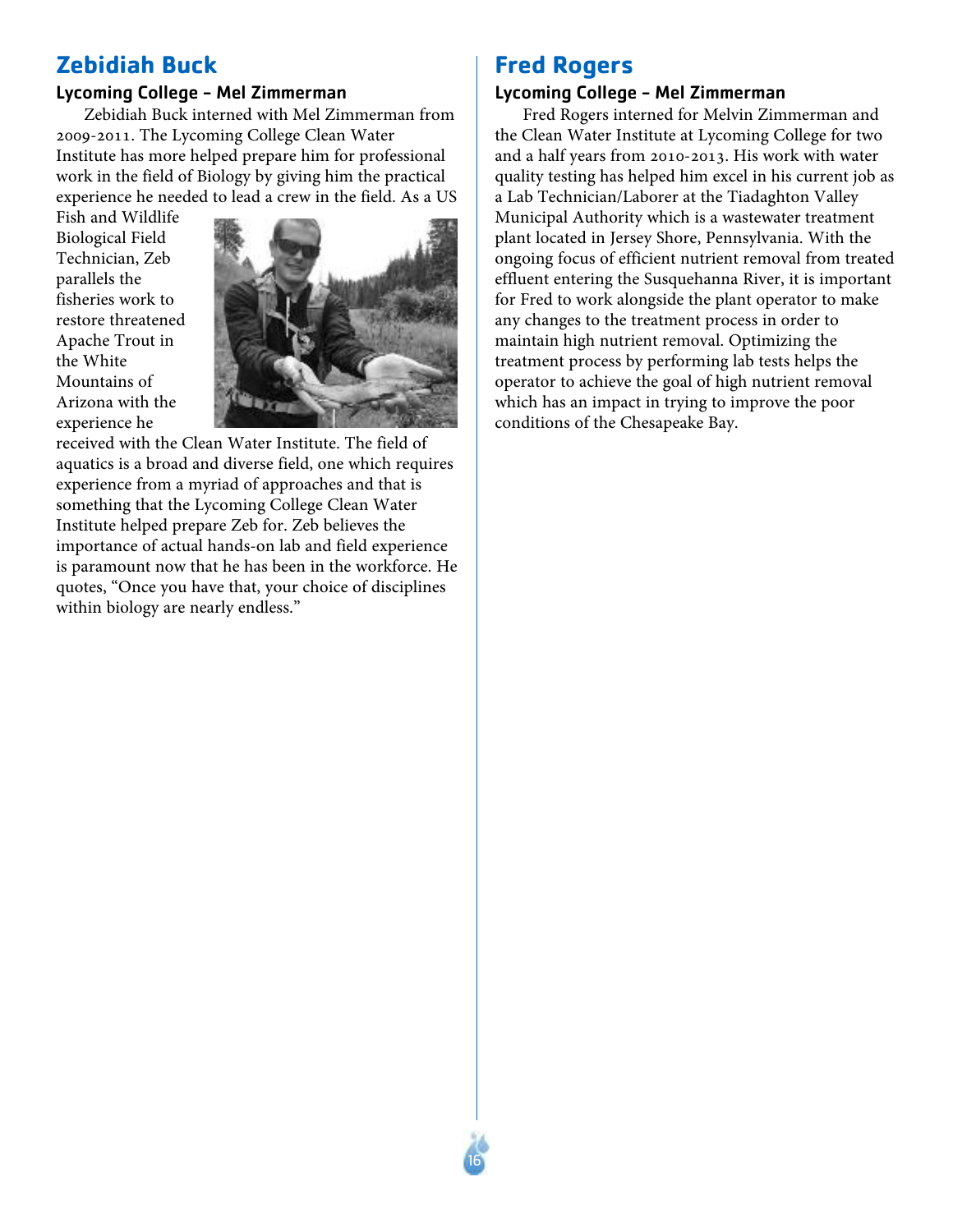### **Zebidiah Buck**

### Lycoming College - Mel Zimmerman

Zebidiah Buck interned with Mel Zimmerman from 2009-2011. The Lycoming College Clean Water Institute has more helped prepare him for professional work in the field of Biology by giving him the practical experience he needed to lead a crew in the field. As a US

Fish and Wildlife Biological Field Technician, Zeb parallels the fisheries work to restore threatened Apache Trout in the White Mountains of Arizona with the experience he



16

received with the Clean Water Institute. The field of aquatics is a broad and diverse field, one which requires experience from a myriad of approaches and that is something that the Lycoming College Clean Water Institute helped prepare Zeb for. Zeb believes the importance of actual hands-on lab and field experience is paramount now that he has been in the workforce. He quotes, "Once you have that, your choice of disciplines within biology are nearly endless."

### **Fred Rogers**

### Lycoming College - Mel Zimmerman

Fred Rogers interned for Melvin Zimmerman and the Clean Water Institute at Lycoming College for two and a half years from 2010-2013. His work with water quality testing has helped him excel in his current job as a Lab Technician/Laborer at the Tiadaghton Valley Municipal Authority which is a wastewater treatment plant located in Jersey Shore, Pennsylvania. With the ongoing focus of efficient nutrient removal from treated effluent entering the Susquehanna River, it is important for Fred to work alongside the plant operator to make any changes to the treatment process in order to maintain high nutrient removal. Optimizing the treatment process by performing lab tests helps the operator to achieve the goal of high nutrient removal which has an impact in trying to improve the poor conditions of the Chesapeake Bay.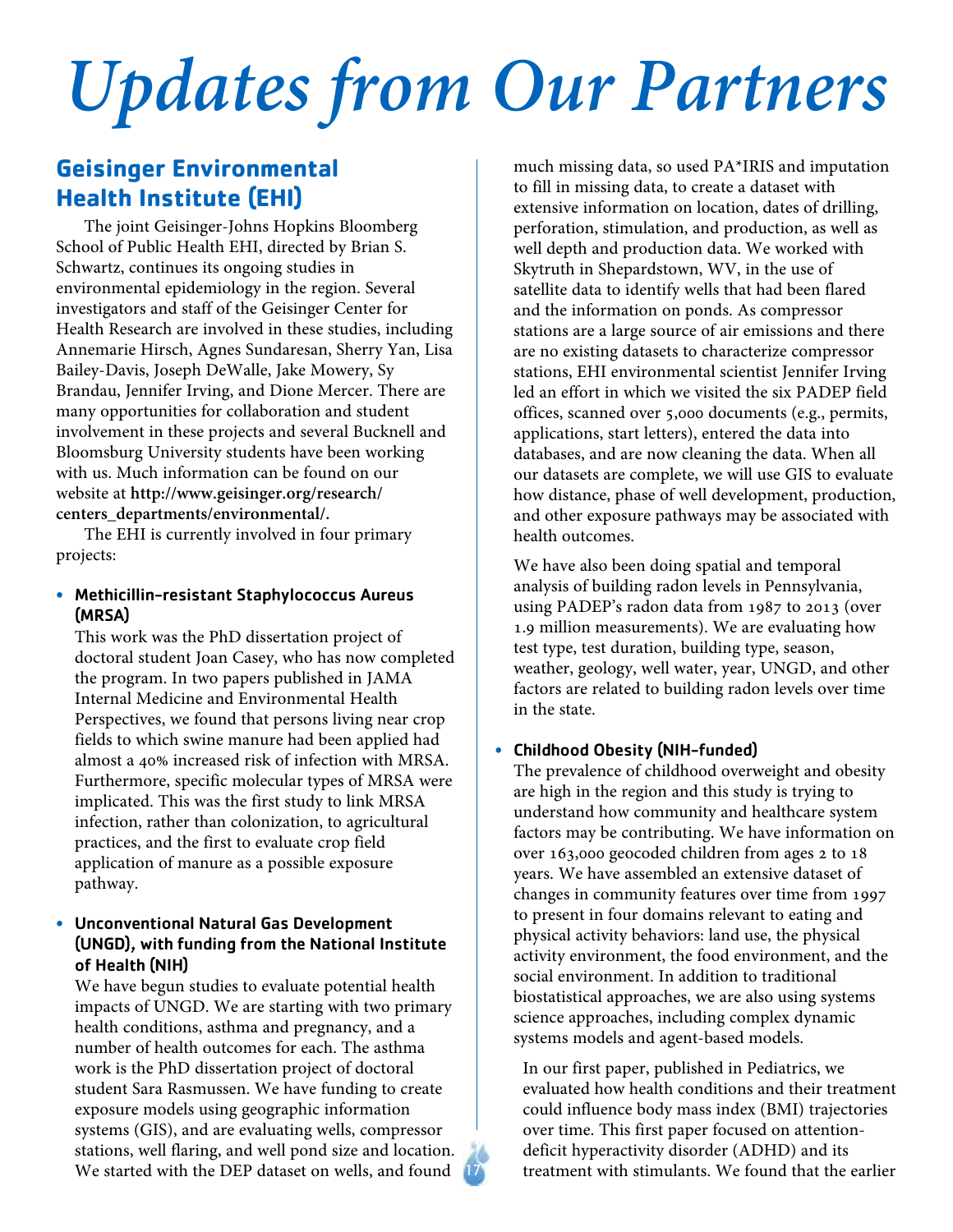# *Updates from Our Partners*

### **Geisinger Environmental Health Institute (EHI)**

The joint Geisinger-Johns Hopkins Bloomberg School of Public Health EHI, directed by Brian S. Schwartz, continues its ongoing studies in environmental epidemiology in the region. Several investigators and staff of the Geisinger Center for Health Research are involved in these studies, including Annemarie Hirsch, Agnes Sundaresan, Sherry Yan, Lisa Bailey-Davis, Joseph DeWalle, Jake Mowery, Sy Brandau, Jennifer Irving, and Dione Mercer. There are many opportunities for collaboration and student involvement in these projects and several Bucknell and Bloomsburg University students have been working with us. Much information can be found on our website at **http://www.geisinger.org/research/ centers\_departments/environmental/.**

The EHI is currently involved in four primary projects:

### • Methicillin-resistant Staphylococcus Aureus (MRSA)

This work was the PhD dissertation project of doctoral student Joan Casey, who has now completed the program. In two papers published in JAMA Internal Medicine and Environmental Health Perspectives, we found that persons living near crop fields to which swine manure had been applied had almost a 40% increased risk of infection with MRSA. Furthermore, specific molecular types of MRSA were implicated. This was the first study to link MRSA infection, rather than colonization, to agricultural practices, and the first to evaluate crop field application of manure as a possible exposure pathway.

### • Unconventional Natural Gas Development (UNGD), with funding from the National Institute of Health (NIH)

We have begun studies to evaluate potential health impacts of UNGD. We are starting with two primary health conditions, asthma and pregnancy, and a number of health outcomes for each. The asthma work is the PhD dissertation project of doctoral student Sara Rasmussen. We have funding to create exposure models using geographic information systems (GIS), and are evaluating wells, compressor stations, well flaring, and well pond size and location. We started with the DEP dataset on wells, and found

much missing data, so used PA\*IRIS and imputation to fill in missing data, to create a dataset with extensive information on location, dates of drilling, perforation, stimulation, and production, as well as well depth and production data. We worked with Skytruth in Shepardstown, WV, in the use of satellite data to identify wells that had been flared and the information on ponds. As compressor stations are a large source of air emissions and there are no existing datasets to characterize compressor stations, EHI environmental scientist Jennifer Irving led an effort in which we visited the six PADEP field offices, scanned over 5,000 documents (e.g., permits, applications, start letters), entered the data into databases, and are now cleaning the data. When all our datasets are complete, we will use GIS to evaluate how distance, phase of well development, production, and other exposure pathways may be associated with health outcomes.

We have also been doing spatial and temporal analysis of building radon levels in Pennsylvania, using PADEP's radon data from 1987 to 2013 (over 1.9 million measurements). We are evaluating how test type, test duration, building type, season, weather, geology, well water, year, UNGD, and other factors are related to building radon levels over time in the state.

### • Childhood Obesity (NIH-funded)

The prevalence of childhood overweight and obesity are high in the region and this study is trying to understand how community and healthcare system factors may be contributing. We have information on over 163,000 geocoded children from ages 2 to 18 years. We have assembled an extensive dataset of changes in community features over time from 1997 to present in four domains relevant to eating and physical activity behaviors: land use, the physical activity environment, the food environment, and the social environment. In addition to traditional biostatistical approaches, we are also using systems science approaches, including complex dynamic systems models and agent-based models.

In our first paper, published in Pediatrics, we evaluated how health conditions and their treatment could influence body mass index (BMI) trajectories over time. This first paper focused on attentiondeficit hyperactivity disorder (ADHD) and its treatment with stimulants. We found that the earlier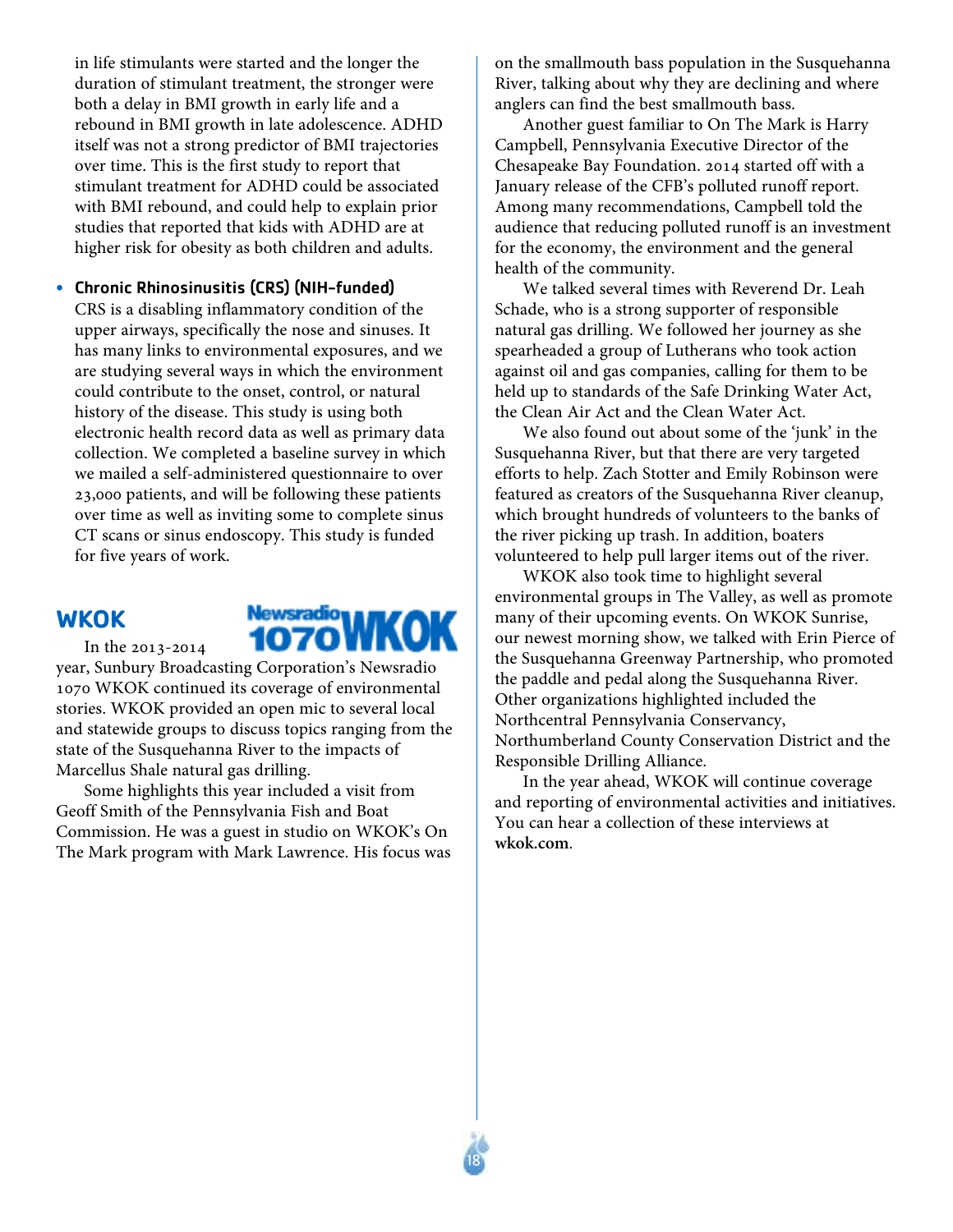in life stimulants were started and the longer the duration of stimulant treatment, the stronger were both a delay in BMI growth in early life and a rebound in BMI growth in late adolescence. ADHD itself was not a strong predictor of BMI trajectories over time. This is the first study to report that stimulant treatment for ADHD could be associated with BMI rebound, and could help to explain prior studies that reported that kids with ADHD are at higher risk for obesity as both children and adults.

• Chronic Rhinosinusitis (CRS) (NIH-funded) CRS is a disabling inflammatory condition of the upper airways, specifically the nose and sinuses. It has many links to environmental exposures, and we are studying several ways in which the environment could contribute to the onset, control, or natural history of the disease. This study is using both electronic health record data as well as primary data collection. We completed a baseline survey in which we mailed a self-administered questionnaire to over 23,000 patients, and will be following these patients over time as well as inviting some to complete sinus CT scans or sinus endoscopy. This study is funded for five years of work.

### **WKOK**

In the 2013-2014



year, Sunbury Broadcasting Corporation's Newsradio 1070 WKOK continued its coverage of environmental stories. WKOK provided an open mic to several local and statewide groups to discuss topics ranging from the state of the Susquehanna River to the impacts of Marcellus Shale natural gas drilling.

Some highlights this year included a visit from Geoff Smith of the Pennsylvania Fish and Boat Commission. He was a guest in studio on WKOK's On The Mark program with Mark Lawrence. His focus was on the smallmouth bass population in the Susquehanna River, talking about why they are declining and where anglers can find the best smallmouth bass.

Another guest familiar to On The Mark is Harry Campbell, Pennsylvania Executive Director of the Chesapeake Bay Foundation. 2014 started off with a January release of the CFB's polluted runoff report. Among many recommendations, Campbell told the audience that reducing polluted runoff is an investment for the economy, the environment and the general health of the community.

We talked several times with Reverend Dr. Leah Schade, who is a strong supporter of responsible natural gas drilling. We followed her journey as she spearheaded a group of Lutherans who took action against oil and gas companies, calling for them to be held up to standards of the Safe Drinking Water Act, the Clean Air Act and the Clean Water Act.

We also found out about some of the 'junk' in the Susquehanna River, but that there are very targeted efforts to help. Zach Stotter and Emily Robinson were featured as creators of the Susquehanna River cleanup, which brought hundreds of volunteers to the banks of the river picking up trash. In addition, boaters volunteered to help pull larger items out of the river.

WKOK also took time to highlight several environmental groups in The Valley, as well as promote many of their upcoming events. On WKOK Sunrise, our newest morning show, we talked with Erin Pierce of the Susquehanna Greenway Partnership, who promoted the paddle and pedal along the Susquehanna River. Other organizations highlighted included the Northcentral Pennsylvania Conservancy, Northumberland County Conservation District and the Responsible Drilling Alliance.

In the year ahead, WKOK will continue coverage and reporting of environmental activities and initiatives. You can hear a collection of these interviews at **wkok.com**.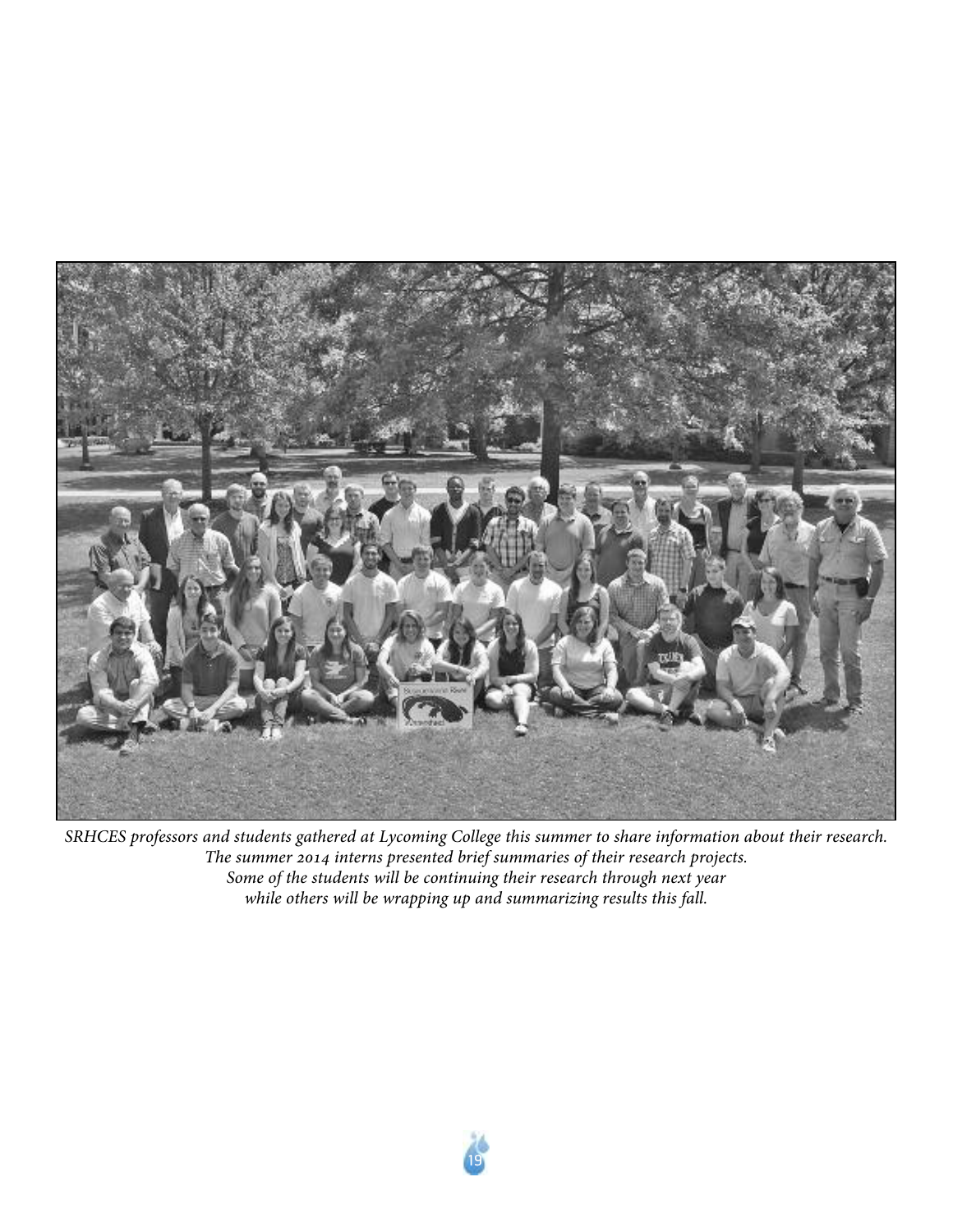

SRHCES professors and students gathered at Lycoming College this summer to share information about their research. *The summer 2014 interns presented brief summaries of their research projects. Some of the students will be continuing their research through next year while others will be wrapping up and summarizing results this fall.*